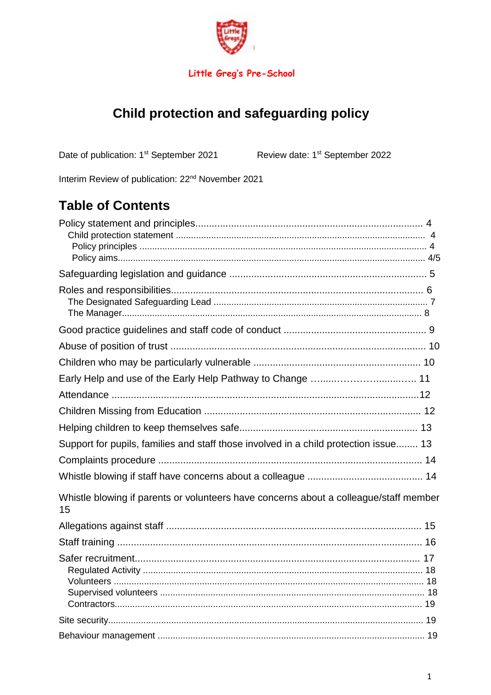

# Child protection and safeguarding policy

Date of publication: 1<sup>st</sup> September 2021

Review date: 1<sup>st</sup> September 2022

Interim Review of publication: 22<sup>nd</sup> November 2021

# **Table of Contents**

| Support for pupils, families and staff those involved in a child protection issue 13        |  |
|---------------------------------------------------------------------------------------------|--|
|                                                                                             |  |
|                                                                                             |  |
| Whistle blowing if parents or volunteers have concerns about a colleague/staff member<br>15 |  |
|                                                                                             |  |
|                                                                                             |  |
|                                                                                             |  |
|                                                                                             |  |
|                                                                                             |  |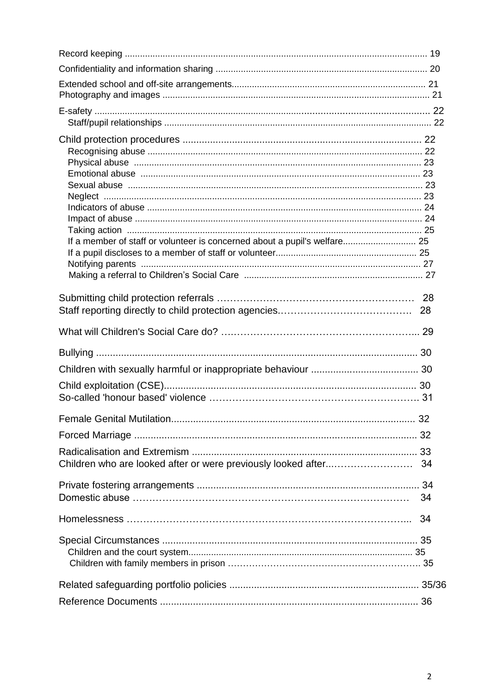| If a member of staff or volunteer is concerned about a pupil's welfare 25 |    |
|---------------------------------------------------------------------------|----|
|                                                                           |    |
|                                                                           |    |
|                                                                           |    |
|                                                                           |    |
|                                                                           |    |
|                                                                           |    |
|                                                                           |    |
|                                                                           | 34 |
|                                                                           | 34 |
|                                                                           |    |
|                                                                           |    |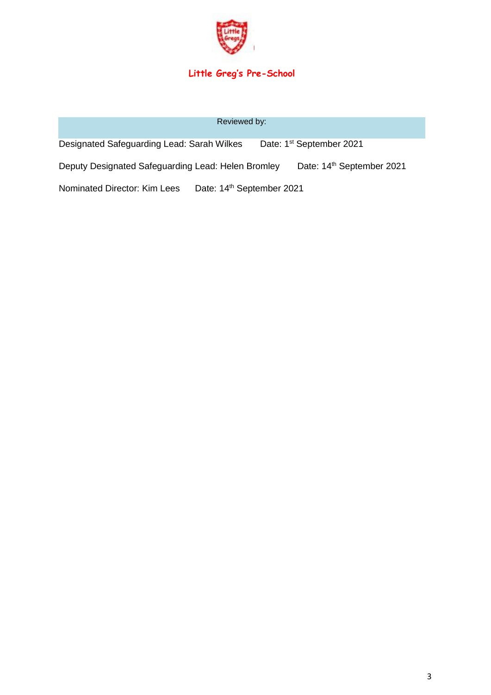

| Reviewed by:                                                                    |                                       |  |  |  |
|---------------------------------------------------------------------------------|---------------------------------------|--|--|--|
|                                                                                 |                                       |  |  |  |
| Designated Safeguarding Lead: Sarah Wilkes                                      | Date: 1 <sup>st</sup> September 2021  |  |  |  |
|                                                                                 |                                       |  |  |  |
| Date: 14th September 2021<br>Deputy Designated Safeguarding Lead: Helen Bromley |                                       |  |  |  |
|                                                                                 |                                       |  |  |  |
| Nominated Director: Kim Lees                                                    | Date: 14 <sup>th</sup> September 2021 |  |  |  |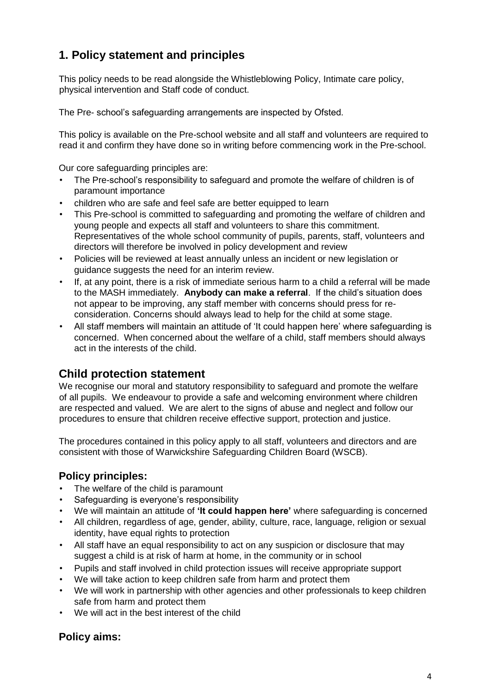## **1. Policy statement and principles**

This policy needs to be read alongside the Whistleblowing Policy, Intimate care policy, physical intervention and Staff code of conduct.

The Pre- school's safeguarding arrangements are inspected by Ofsted.

This policy is available on the Pre-school website and all staff and volunteers are required to read it and confirm they have done so in writing before commencing work in the Pre-school.

Our core safeguarding principles are:

- The Pre-school's responsibility to safeguard and promote the welfare of children is of paramount importance
- children who are safe and feel safe are better equipped to learn
- This Pre-school is committed to safeguarding and promoting the welfare of children and young people and expects all staff and volunteers to share this commitment. Representatives of the whole school community of pupils, parents, staff, volunteers and directors will therefore be involved in policy development and review
- Policies will be reviewed at least annually unless an incident or new legislation or guidance suggests the need for an interim review.
- If, at any point, there is a risk of immediate serious harm to a child a referral will be made to the MASH immediately. **Anybody can make a referral**. If the child's situation does not appear to be improving, any staff member with concerns should press for reconsideration. Concerns should always lead to help for the child at some stage.
- All staff members will maintain an attitude of 'It could happen here' where safeguarding is concerned. When concerned about the welfare of a child, staff members should always act in the interests of the child.

## **Child protection statement**

We recognise our moral and statutory responsibility to safeguard and promote the welfare of all pupils. We endeavour to provide a safe and welcoming environment where children are respected and valued. We are alert to the signs of abuse and neglect and follow our procedures to ensure that children receive effective support, protection and justice.

The procedures contained in this policy apply to all staff, volunteers and directors and are consistent with those of Warwickshire Safeguarding Children Board (WSCB).

## **Policy principles:**

- The welfare of the child is paramount
- Safeguarding is everyone's responsibility
- We will maintain an attitude of **'It could happen here'** where safeguarding is concerned
- All children, regardless of age, gender, ability, culture, race, language, religion or sexual identity, have equal rights to protection
- All staff have an equal responsibility to act on any suspicion or disclosure that may suggest a child is at risk of harm at home, in the community or in school
- Pupils and staff involved in child protection issues will receive appropriate support
- We will take action to keep children safe from harm and protect them
- We will work in partnership with other agencies and other professionals to keep children safe from harm and protect them
- We will act in the best interest of the child

## **Policy aims:**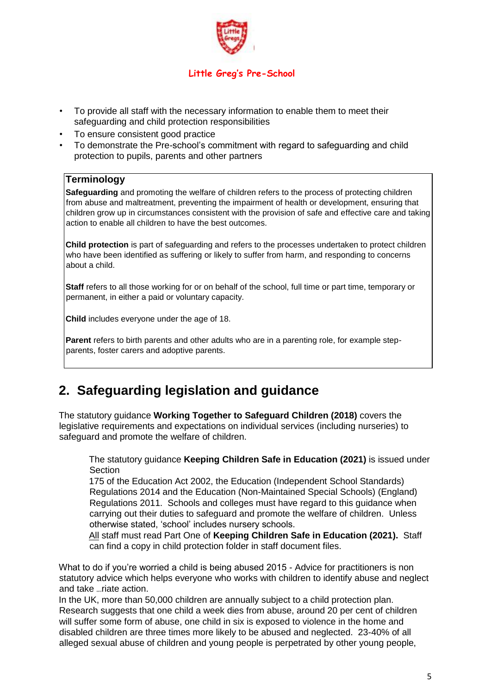

- To provide all staff with the necessary information to enable them to meet their safeguarding and child protection responsibilities
- To ensure consistent good practice
- To demonstrate the Pre-school's commitment with regard to safeguarding and child protection to pupils, parents and other partners

### **Terminology**

**Safeguarding** and promoting the welfare of children refers to the process of protecting children from abuse and maltreatment, preventing the impairment of health or development, ensuring that children grow up in circumstances consistent with the provision of safe and effective care and taking action to enable all children to have the best outcomes.

**Child protection** is part of safeguarding and refers to the processes undertaken to protect children who have been identified as suffering or likely to suffer from harm, and responding to concerns about a child.

**Staff** refers to all those working for or on behalf of the school, full time or part time, temporary or permanent, in either a paid or voluntary capacity.

**Child** includes everyone under the age of 18.

**Parent** refers to birth parents and other adults who are in a parenting role, for example stepparents, foster carers and adoptive parents.

## **2. Safeguarding legislation and guidance**

The statutory guidance **Working Together to Safeguard Children (2018)** covers the legislative requirements and expectations on individual services (including nurseries) to safeguard and promote the welfare of children.

The statutory guidance **Keeping Children Safe in Education (2021)** is issued under **Section** 

175 of the Education Act 2002, the Education (Independent School Standards) Regulations 2014 and the Education (Non-Maintained Special Schools) (England) Regulations 2011. Schools and colleges must have regard to this guidance when carrying out their duties to safeguard and promote the welfare of children. Unless otherwise stated, 'school' includes nursery schools.

All staff must read Part One of **Keeping Children Safe in Education (2021).** Staff can find a copy in child protection folder in staff document files.

What to do if you're worried a child is being abused 2015 - Advice for practitioners is non statutory advice which helps everyone who works with children to identify abuse and neglect and take \_\_ riate action.

In the UK, more than 50,000 children are annually subject to a child protection plan. Research suggests that one child a week dies from abuse, around 20 per cent of children will suffer some form of abuse, one child in six is exposed to violence in the home and disabled children are three times more likely to be abused and neglected. 23-40% of all alleged sexual abuse of children and young people is perpetrated by other young people,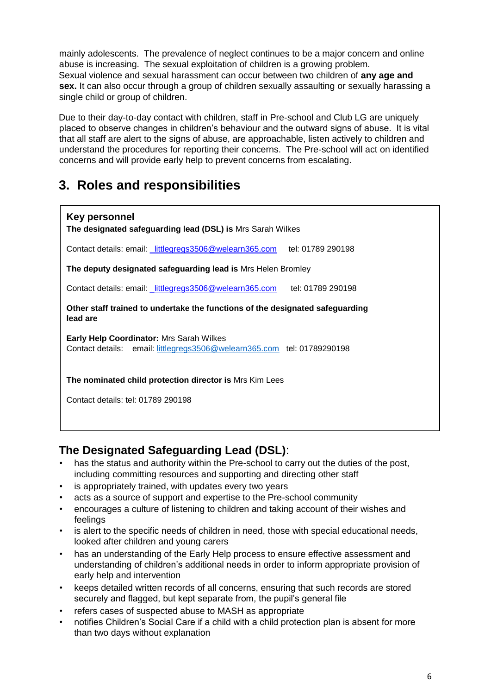mainly adolescents. The prevalence of neglect continues to be a major concern and online abuse is increasing. The sexual exploitation of children is a growing problem. Sexual violence and sexual harassment can occur between two children of **any age and sex.** It can also occur through a group of children sexually assaulting or sexually harassing a single child or group of children.

Due to their day-to-day contact with children, staff in Pre-school and Club LG are uniquely placed to observe changes in children's behaviour and the outward signs of abuse. It is vital that all staff are alert to the signs of abuse, are approachable, listen actively to children and understand the procedures for reporting their concerns. The Pre-school will act on identified concerns and will provide early help to prevent concerns from escalating.

# **3. Roles and responsibilities**

### **Key personnel**

**The designated safeguarding lead (DSL) is** Mrs Sarah Wilkes

Contact details: email: littlegregs3506@welearn365.com tel: 01789 290198

**The deputy designated safeguarding lead is** Mrs Helen Bromley

Contact details: email: littlegregs3506@welearn365.com tel: 01789 290198

**Other staff trained to undertake the functions of the designated safeguarding lead are**

**Early Help Coordinator:** Mrs Sarah Wilkes Contact details: email: [littlegregs3506@welearn365.com](mailto:littlegregs3506@welearn365.com) tel: 01789290198

**The nominated child protection director is** Mrs Kim Lees

Contact details: tel: 01789 290198

## **The Designated Safeguarding Lead (DSL)**:

- has the status and authority within the Pre-school to carry out the duties of the post, including committing resources and supporting and directing other staff
- is appropriately trained, with updates every two years
- acts as a source of support and expertise to the Pre-school community
- encourages a culture of listening to children and taking account of their wishes and feelings
- is alert to the specific needs of children in need, those with special educational needs, looked after children and young carers
- has an understanding of the Early Help process to ensure effective assessment and understanding of children's additional needs in order to inform appropriate provision of early help and intervention
- keeps detailed written records of all concerns, ensuring that such records are stored securely and flagged, but kept separate from, the pupil's general file
- refers cases of suspected abuse to MASH as appropriate
- notifies Children's Social Care if a child with a child protection plan is absent for more than two days without explanation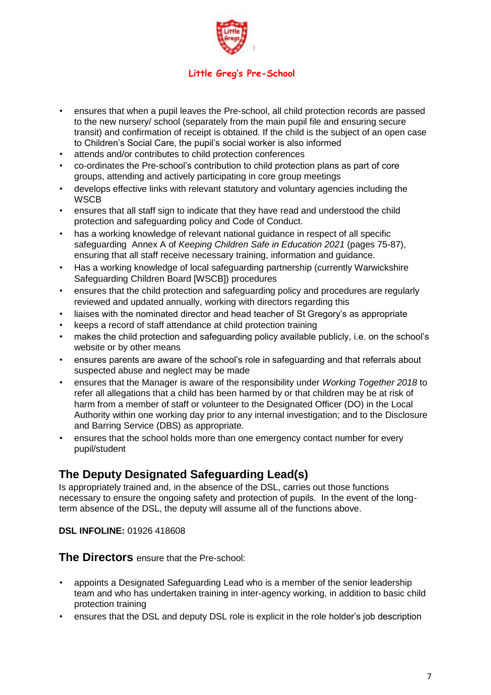

- ensures that when a pupil leaves the Pre-school, all child protection records are passed to the new nursery/ school (separately from the main pupil file and ensuring secure transit) and confirmation of receipt is obtained. If the child is the subject of an open case to Children's Social Care, the pupil's social worker is also informed
- attends and/or contributes to child protection conferences
- co-ordinates the Pre-school's contribution to child protection plans as part of core groups, attending and actively participating in core group meetings
- develops effective links with relevant statutory and voluntary agencies including the **WSCB**
- ensures that all staff sign to indicate that they have read and understood the child protection and safeguarding policy and Code of Conduct.
- has a working knowledge of relevant national guidance in respect of all specific safeguarding Annex A of *Keeping Children Safe in Education 2021* (pages 75-87), ensuring that all staff receive necessary training, information and guidance.
- Has a working knowledge of local safeguarding partnership (currently Warwickshire Safeguarding Children Board [WSCB]) procedures
- ensures that the child protection and safeguarding policy and procedures are regularly reviewed and updated annually, working with directors regarding this
- liaises with the nominated director and head teacher of St Gregory's as appropriate
- keeps a record of staff attendance at child protection training
- makes the child protection and safeguarding policy available publicly, i.e. on the school's website or by other means
- ensures parents are aware of the school's role in safeguarding and that referrals about suspected abuse and neglect may be made
- ensures that the Manager is aware of the responsibility under *Working Together 2018* to refer all allegations that a child has been harmed by or that children may be at risk of harm from a member of staff or volunteer to the Designated Officer (DO) in the Local Authority within one working day prior to any internal investigation; and to the Disclosure and Barring Service (DBS) as appropriate.
- ensures that the school holds more than one emergency contact number for every pupil/student

## **The Deputy Designated Safeguarding Lead(s)**

Is appropriately trained and, in the absence of the DSL, carries out those functions necessary to ensure the ongoing safety and protection of pupils. In the event of the longterm absence of the DSL, the deputy will assume all of the functions above.

### **DSL INFOLINE:** 01926 418608

**The Directors** ensure that the Pre-school:

- appoints a Designated Safeguarding Lead who is a member of the senior leadership team and who has undertaken training in inter-agency working, in addition to basic child protection training
- ensures that the DSL and deputy DSL role is explicit in the role holder's job description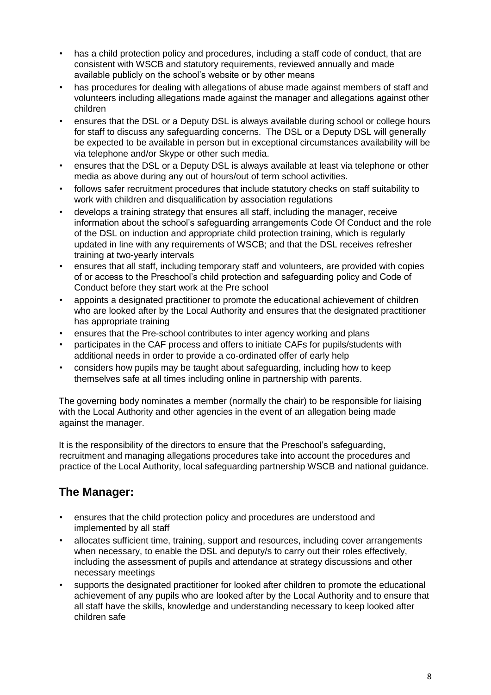- has a child protection policy and procedures, including a staff code of conduct, that are consistent with WSCB and statutory requirements, reviewed annually and made available publicly on the school's website or by other means
- has procedures for dealing with allegations of abuse made against members of staff and volunteers including allegations made against the manager and allegations against other children
- ensures that the DSL or a Deputy DSL is always available during school or college hours for staff to discuss any safeguarding concerns. The DSL or a Deputy DSL will generally be expected to be available in person but in exceptional circumstances availability will be via telephone and/or Skype or other such media.
- ensures that the DSL or a Deputy DSL is always available at least via telephone or other media as above during any out of hours/out of term school activities.
- follows safer recruitment procedures that include statutory checks on staff suitability to work with children and disqualification by association regulations
- develops a training strategy that ensures all staff, including the manager, receive information about the school's safeguarding arrangements Code Of Conduct and the role of the DSL on induction and appropriate child protection training, which is regularly updated in line with any requirements of WSCB; and that the DSL receives refresher training at two-yearly intervals
- ensures that all staff, including temporary staff and volunteers, are provided with copies of or access to the Preschool's child protection and safeguarding policy and Code of Conduct before they start work at the Pre school
- appoints a designated practitioner to promote the educational achievement of children who are looked after by the Local Authority and ensures that the designated practitioner has appropriate training
- ensures that the Pre-school contributes to inter agency working and plans
- participates in the CAF process and offers to initiate CAFs for pupils/students with additional needs in order to provide a co-ordinated offer of early help
- considers how pupils may be taught about safeguarding, including how to keep themselves safe at all times including online in partnership with parents.

The governing body nominates a member (normally the chair) to be responsible for liaising with the Local Authority and other agencies in the event of an allegation being made against the manager.

It is the responsibility of the directors to ensure that the Preschool's safeguarding, recruitment and managing allegations procedures take into account the procedures and practice of the Local Authority, local safeguarding partnership WSCB and national guidance.

## **The Manager:**

- ensures that the child protection policy and procedures are understood and implemented by all staff
- allocates sufficient time, training, support and resources, including cover arrangements when necessary, to enable the DSL and deputy/s to carry out their roles effectively, including the assessment of pupils and attendance at strategy discussions and other necessary meetings
- supports the designated practitioner for looked after children to promote the educational achievement of any pupils who are looked after by the Local Authority and to ensure that all staff have the skills, knowledge and understanding necessary to keep looked after children safe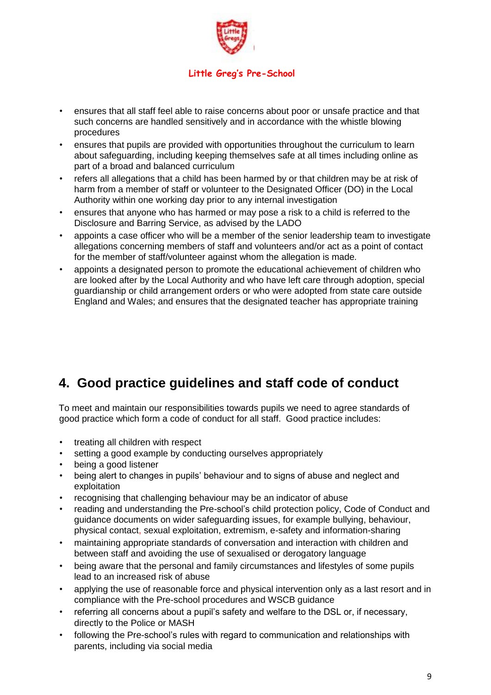

- ensures that all staff feel able to raise concerns about poor or unsafe practice and that such concerns are handled sensitively and in accordance with the whistle blowing procedures
- ensures that pupils are provided with opportunities throughout the curriculum to learn about safeguarding, including keeping themselves safe at all times including online as part of a broad and balanced curriculum
- refers all allegations that a child has been harmed by or that children may be at risk of harm from a member of staff or volunteer to the Designated Officer (DO) in the Local Authority within one working day prior to any internal investigation
- ensures that anyone who has harmed or may pose a risk to a child is referred to the Disclosure and Barring Service, as advised by the LADO
- appoints a case officer who will be a member of the senior leadership team to investigate allegations concerning members of staff and volunteers and/or act as a point of contact for the member of staff/volunteer against whom the allegation is made*.*
- appoints a designated person to promote the educational achievement of children who are looked after by the Local Authority and who have left care through adoption, special guardianship or child arrangement orders or who were adopted from state care outside England and Wales; and ensures that the designated teacher has appropriate training

## **4. Good practice guidelines and staff code of conduct**

To meet and maintain our responsibilities towards pupils we need to agree standards of good practice which form a code of conduct for all staff. Good practice includes:

- treating all children with respect
- setting a good example by conducting ourselves appropriately
- being a good listener
- being alert to changes in pupils' behaviour and to signs of abuse and neglect and exploitation
- recognising that challenging behaviour may be an indicator of abuse
- reading and understanding the Pre-school's child protection policy, Code of Conduct and guidance documents on wider safeguarding issues, for example bullying, behaviour, physical contact, sexual exploitation, extremism, e-safety and information-sharing
- maintaining appropriate standards of conversation and interaction with children and between staff and avoiding the use of sexualised or derogatory language
- being aware that the personal and family circumstances and lifestyles of some pupils lead to an increased risk of abuse
- applying the use of reasonable force and physical intervention only as a last resort and in compliance with the Pre-school procedures and WSCB guidance
- referring all concerns about a pupil's safety and welfare to the DSL or, if necessary, directly to the Police or MASH
- following the Pre-school's rules with regard to communication and relationships with parents, including via social media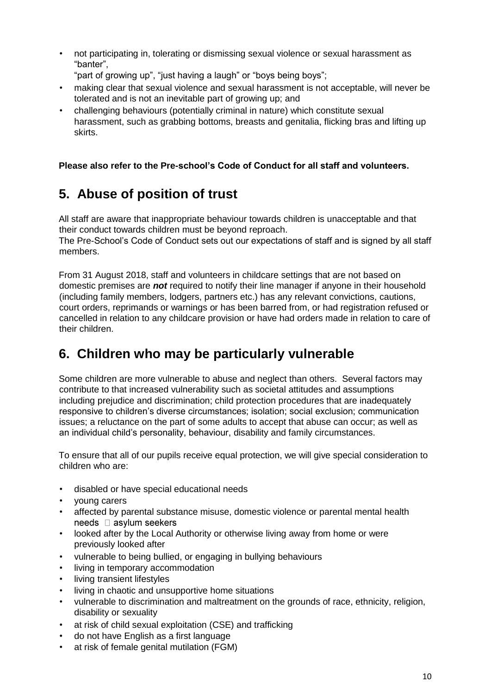• not participating in, tolerating or dismissing sexual violence or sexual harassment as "banter",

"part of growing up", "just having a laugh" or "boys being boys";

- making clear that sexual violence and sexual harassment is not acceptable, will never be tolerated and is not an inevitable part of growing up; and
- challenging behaviours (potentially criminal in nature) which constitute sexual harassment, such as grabbing bottoms, breasts and genitalia, flicking bras and lifting up skirts.

### **Please also refer to the Pre-school's Code of Conduct for all staff and volunteers.**

# **5. Abuse of position of trust**

All staff are aware that inappropriate behaviour towards children is unacceptable and that their conduct towards children must be beyond reproach.

The Pre-School's Code of Conduct sets out our expectations of staff and is signed by all staff members.

From 31 August 2018, staff and volunteers in childcare settings that are not based on domestic premises are *not* required to notify their line manager if anyone in their household (including family members, lodgers, partners etc.) has any relevant convictions, cautions, court orders, reprimands or warnings or has been barred from, or had registration refused or cancelled in relation to any childcare provision or have had orders made in relation to care of their children.

## **6. Children who may be particularly vulnerable**

Some children are more vulnerable to abuse and neglect than others. Several factors may contribute to that increased vulnerability such as societal attitudes and assumptions including prejudice and discrimination; child protection procedures that are inadequately responsive to children's diverse circumstances; isolation; social exclusion; communication issues; a reluctance on the part of some adults to accept that abuse can occur; as well as an individual child's personality, behaviour, disability and family circumstances.

To ensure that all of our pupils receive equal protection, we will give special consideration to children who are:

- disabled or have special educational needs
- young carers
- affected by parental substance misuse, domestic violence or parental mental health needs asylum seekers
- looked after by the Local Authority or otherwise living away from home or were previously looked after
- vulnerable to being bullied, or engaging in bullying behaviours
- living in temporary accommodation
- living transient lifestyles
- living in chaotic and unsupportive home situations
- vulnerable to discrimination and maltreatment on the grounds of race, ethnicity, religion, disability or sexuality
- at risk of child sexual exploitation (CSE) and trafficking
- do not have English as a first language
- at risk of female genital mutilation (FGM)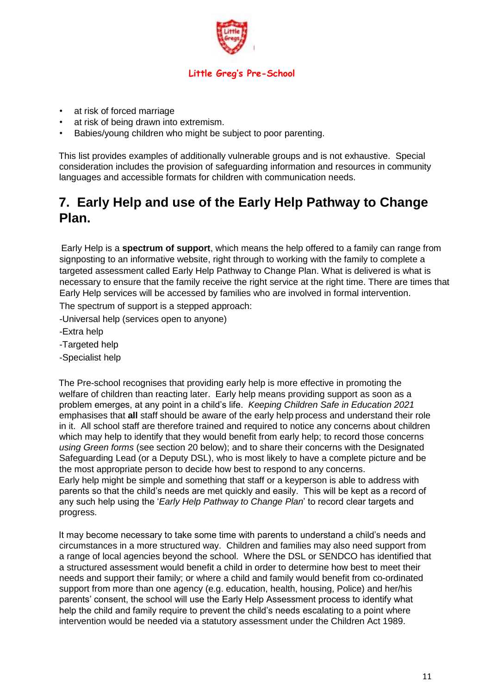

- at risk of forced marriage
- at risk of being drawn into extremism.
- Babies/young children who might be subject to poor parenting.

This list provides examples of additionally vulnerable groups and is not exhaustive. Special consideration includes the provision of safeguarding information and resources in community languages and accessible formats for children with communication needs.

# **7. Early Help and use of the Early Help Pathway to Change Plan.**

Early Help is a **spectrum of support**, which means the help offered to a family can range from signposting to an informative website, right through to working with the family to complete a targeted assessment called Early Help Pathway to Change Plan. What is delivered is what is necessary to ensure that the family receive the right service at the right time. There are times that Early Help services will be accessed by families who are involved in formal intervention.

The spectrum of support is a stepped approach:

- -Universal help (services open to anyone)
- -Extra help
- -Targeted help
- -Specialist help

The Pre-school recognises that providing early help is more effective in promoting the welfare of children than reacting later. Early help means providing support as soon as a problem emerges, at any point in a child's life. *Keeping Children Safe in Education 2021*  emphasises that **all** staff should be aware of the early help process and understand their role in it. All school staff are therefore trained and required to notice any concerns about children which may help to identify that they would benefit from early help; to record those concerns *using Green forms* (see section 20 below); and to share their concerns with the Designated Safeguarding Lead (or a Deputy DSL), who is most likely to have a complete picture and be the most appropriate person to decide how best to respond to any concerns. Early help might be simple and something that staff or a keyperson is able to address with parents so that the child's needs are met quickly and easily. This will be kept as a record of any such help using the '*Early Help Pathway to Change Plan*' to record clear targets and progress.

It may become necessary to take some time with parents to understand a child's needs and circumstances in a more structured way. Children and families may also need support from a range of local agencies beyond the school. Where the DSL or SENDCO has identified that a structured assessment would benefit a child in order to determine how best to meet their needs and support their family; or where a child and family would benefit from co-ordinated support from more than one agency (e.g. education, health, housing, Police) and her/his parents' consent, the school will use the Early Help Assessment process to identify what help the child and family require to prevent the child's needs escalating to a point where intervention would be needed via a statutory assessment under the Children Act 1989.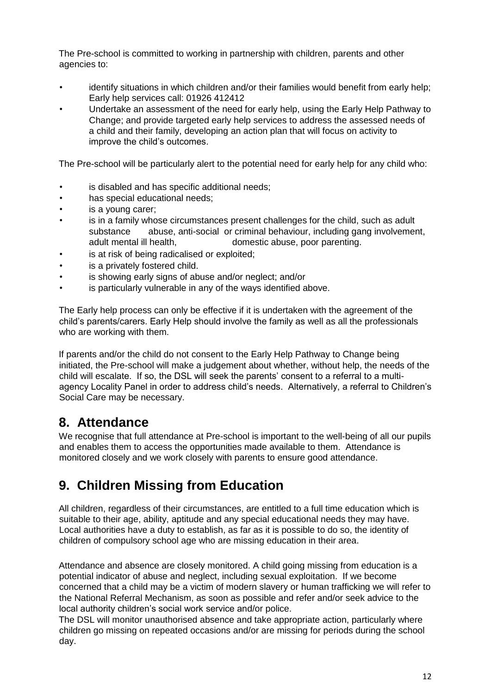The Pre-school is committed to working in partnership with children, parents and other agencies to:

- identify situations in which children and/or their families would benefit from early help: Early help services call: 01926 412412
- Undertake an assessment of the need for early help, using the Early Help Pathway to Change; and provide targeted early help services to address the assessed needs of a child and their family, developing an action plan that will focus on activity to improve the child's outcomes.

The Pre-school will be particularly alert to the potential need for early help for any child who:

- is disabled and has specific additional needs;
- has special educational needs:
- is a young carer;
- is in a family whose circumstances present challenges for the child, such as adult substance abuse, anti-social or criminal behaviour, including gang involvement, adult mental ill health, domestic abuse, poor parenting.
- is at risk of being radicalised or exploited;
- is a privately fostered child.
- is showing early signs of abuse and/or neglect; and/or
- is particularly vulnerable in any of the ways identified above.

The Early help process can only be effective if it is undertaken with the agreement of the child's parents/carers. Early Help should involve the family as well as all the professionals who are working with them.

If parents and/or the child do not consent to the Early Help Pathway to Change being initiated, the Pre-school will make a judgement about whether, without help, the needs of the child will escalate. If so, the DSL will seek the parents' consent to a referral to a multiagency Locality Panel in order to address child's needs. Alternatively, a referral to Children's Social Care may be necessary.

## **8. Attendance**

We recognise that full attendance at Pre-school is important to the well-being of all our pupils and enables them to access the opportunities made available to them. Attendance is monitored closely and we work closely with parents to ensure good attendance.

# **9. Children Missing from Education**

All children, regardless of their circumstances, are entitled to a full time education which is suitable to their age, ability, aptitude and any special educational needs they may have. Local authorities have a duty to establish, as far as it is possible to do so, the identity of children of compulsory school age who are missing education in their area.

Attendance and absence are closely monitored. A child going missing from education is a potential indicator of abuse and neglect, including sexual exploitation. If we become concerned that a child may be a victim of modern slavery or human trafficking we will refer to the National Referral Mechanism, as soon as possible and refer and/or seek advice to the local authority children's social work service and/or police.

The DSL will monitor unauthorised absence and take appropriate action, particularly where children go missing on repeated occasions and/or are missing for periods during the school day.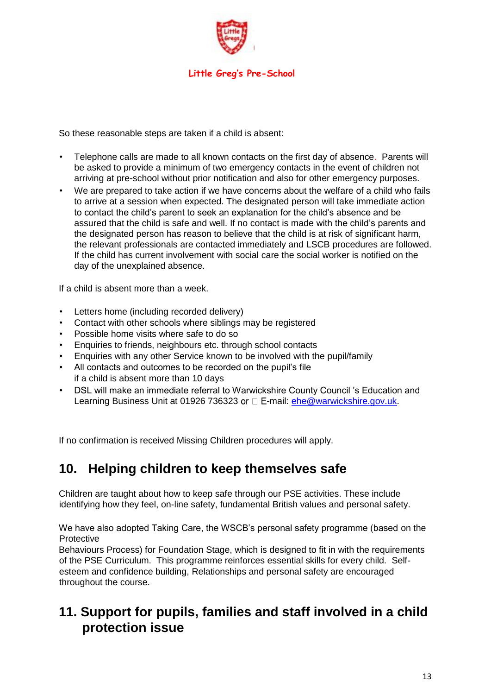

So these reasonable steps are taken if a child is absent:

- Telephone calls are made to all known contacts on the first day of absence. Parents will be asked to provide a minimum of two emergency contacts in the event of children not arriving at pre-school without prior notification and also for other emergency purposes.
- We are prepared to take action if we have concerns about the welfare of a child who fails to arrive at a session when expected. The designated person will take immediate action to contact the child's parent to seek an explanation for the child's absence and be assured that the child is safe and well. If no contact is made with the child's parents and the designated person has reason to believe that the child is at risk of significant harm, the relevant professionals are contacted immediately and LSCB procedures are followed. If the child has current involvement with social care the social worker is notified on the day of the unexplained absence.

If a child is absent more than a week.

- Letters home (including recorded delivery)
- Contact with other schools where siblings may be registered
- Possible home visits where safe to do so
- Enquiries to friends, neighbours etc. through school contacts
- Enquiries with any other Service known to be involved with the pupil/family
- All contacts and outcomes to be recorded on the pupil's file if a child is absent more than 10 days
- DSL will make an immediate referral to Warwickshire County Council 's Education and Learning Business Unit at 01926 736323 or  $\Box$  E-mail: ehe@warwickshire.gov.uk.

If no confirmation is received Missing Children procedures will apply.

## **10. Helping children to keep themselves safe**

Children are taught about how to keep safe through our PSE activities. These include identifying how they feel, on-line safety, fundamental British values and personal safety.

We have also adopted Taking Care, the WSCB's personal safety programme (based on the **Protective** 

Behaviours Process) for Foundation Stage, which is designed to fit in with the requirements of the PSE Curriculum. This programme reinforces essential skills for every child. Selfesteem and confidence building, Relationships and personal safety are encouraged throughout the course.

# **11. Support for pupils, families and staff involved in a child protection issue**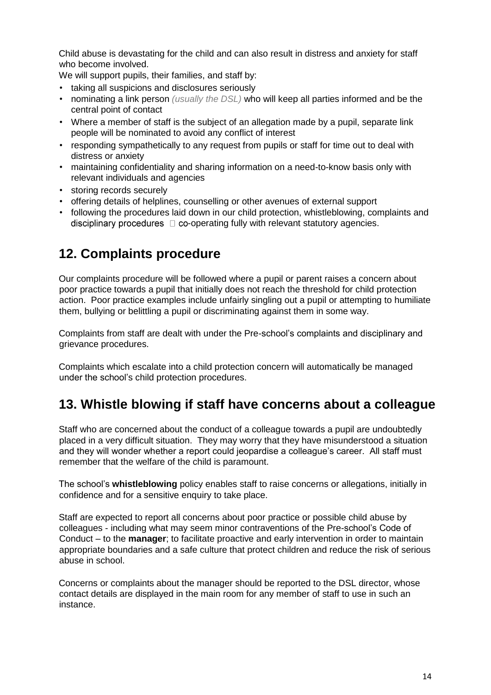Child abuse is devastating for the child and can also result in distress and anxiety for staff who become involved.

We will support pupils, their families, and staff by:

- taking all suspicions and disclosures seriously
- nominating a link person *(usually the DSL)* who will keep all parties informed and be the central point of contact
- Where a member of staff is the subject of an allegation made by a pupil, separate link people will be nominated to avoid any conflict of interest
- responding sympathetically to any request from pupils or staff for time out to deal with distress or anxiety
- maintaining confidentiality and sharing information on a need-to-know basis only with relevant individuals and agencies
- storing records securely
- offering details of helplines, counselling or other avenues of external support
- following the procedures laid down in our child protection, whistleblowing, complaints and disciplinary procedures  $\Box$  co-operating fully with relevant statutory agencies.

## **12. Complaints procedure**

Our complaints procedure will be followed where a pupil or parent raises a concern about poor practice towards a pupil that initially does not reach the threshold for child protection action. Poor practice examples include unfairly singling out a pupil or attempting to humiliate them, bullying or belittling a pupil or discriminating against them in some way.

Complaints from staff are dealt with under the Pre-school's complaints and disciplinary and grievance procedures.

Complaints which escalate into a child protection concern will automatically be managed under the school's child protection procedures.

## **13. Whistle blowing if staff have concerns about a colleague**

Staff who are concerned about the conduct of a colleague towards a pupil are undoubtedly placed in a very difficult situation. They may worry that they have misunderstood a situation and they will wonder whether a report could jeopardise a colleague's career. All staff must remember that the welfare of the child is paramount.

The school's **whistleblowing** policy enables staff to raise concerns or allegations, initially in confidence and for a sensitive enquiry to take place.

Staff are expected to report all concerns about poor practice or possible child abuse by colleagues - including what may seem minor contraventions of the Pre-school's Code of Conduct – to the **manager**; to facilitate proactive and early intervention in order to maintain appropriate boundaries and a safe culture that protect children and reduce the risk of serious abuse in school.

Concerns or complaints about the manager should be reported to the DSL director, whose contact details are displayed in the main room for any member of staff to use in such an instance.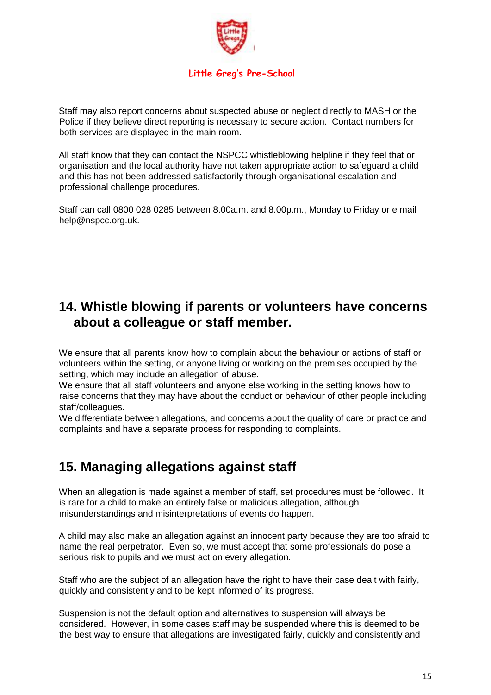

Staff may also report concerns about suspected abuse or neglect directly to MASH or the Police if they believe direct reporting is necessary to secure action. Contact numbers for both services are displayed in the main room.

All staff know that they can contact the NSPCC whistleblowing helpline if they feel that or organisation and the local authority have not taken appropriate action to safeguard a child and this has not been addressed satisfactorily through organisational escalation and professional challenge procedures.

Staff can call 0800 028 0285 between 8.00a.m. and 8.00p.m., Monday to Friday or e mail help@nspcc.org.uk.

## **14. Whistle blowing if parents or volunteers have concerns about a colleague or staff member.**

We ensure that all parents know how to complain about the behaviour or actions of staff or volunteers within the setting, or anyone living or working on the premises occupied by the setting, which may include an allegation of abuse.

We ensure that all staff volunteers and anyone else working in the setting knows how to raise concerns that they may have about the conduct or behaviour of other people including staff/colleagues.

We differentiate between allegations, and concerns about the quality of care or practice and complaints and have a separate process for responding to complaints.

## **15. Managing allegations against staff**

When an allegation is made against a member of staff, set procedures must be followed. It is rare for a child to make an entirely false or malicious allegation, although misunderstandings and misinterpretations of events do happen.

A child may also make an allegation against an innocent party because they are too afraid to name the real perpetrator. Even so, we must accept that some professionals do pose a serious risk to pupils and we must act on every allegation.

Staff who are the subject of an allegation have the right to have their case dealt with fairly, quickly and consistently and to be kept informed of its progress.

Suspension is not the default option and alternatives to suspension will always be considered. However, in some cases staff may be suspended where this is deemed to be the best way to ensure that allegations are investigated fairly, quickly and consistently and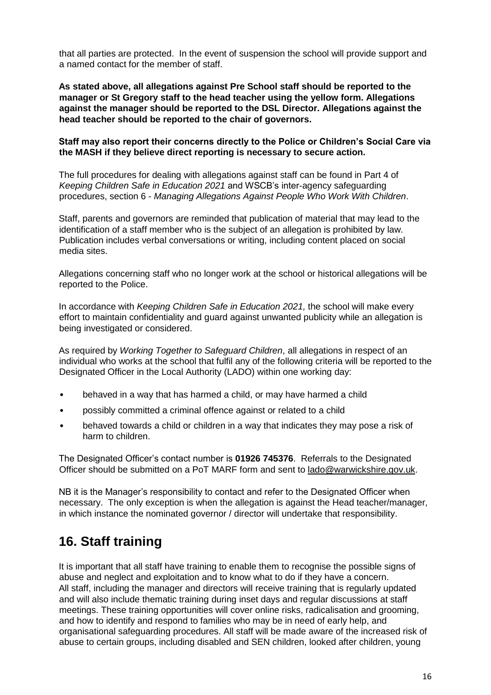that all parties are protected. In the event of suspension the school will provide support and a named contact for the member of staff.

**As stated above, all allegations against Pre School staff should be reported to the manager or St Gregory staff to the head teacher using the yellow form. Allegations against the manager should be reported to the DSL Director. Allegations against the head teacher should be reported to the chair of governors.** 

**Staff may also report their concerns directly to the Police or Children's Social Care via the MASH if they believe direct reporting is necessary to secure action.** 

The full procedures for dealing with allegations against staff can be found in Part 4 of *Keeping Children Safe in Education 2021* and WSCB's inter-agency safeguarding procedures, section 6 - *Managing Allegations Against People Who Work With Children*.

Staff, parents and governors are reminded that publication of material that may lead to the identification of a staff member who is the subject of an allegation is prohibited by law. Publication includes verbal conversations or writing, including content placed on social media sites.

Allegations concerning staff who no longer work at the school or historical allegations will be reported to the Police.

In accordance with *Keeping Children Safe in Education 2021,* the school will make every effort to maintain confidentiality and guard against unwanted publicity while an allegation is being investigated or considered.

As required by *Working Together to Safeguard Children*, all allegations in respect of an individual who works at the school that fulfil any of the following criteria will be reported to the Designated Officer in the Local Authority (LADO) within one working day:

- behaved in a way that has harmed a child, or may have harmed a child
- possibly committed a criminal offence against or related to a child
- behaved towards a child or children in a way that indicates they may pose a risk of harm to children.

The Designated Officer's contact number is **01926 745376**. Referrals to the Designated Officer should be submitted on a PoT MARF form and sent to lado@warwickshire.gov.uk.

NB it is the Manager's responsibility to contact and refer to the Designated Officer when necessary. The only exception is when the allegation is against the Head teacher/manager, in which instance the nominated governor / director will undertake that responsibility.

## **16. Staff training**

It is important that all staff have training to enable them to recognise the possible signs of abuse and neglect and exploitation and to know what to do if they have a concern. All staff, including the manager and directors will receive training that is regularly updated and will also include thematic training during inset days and regular discussions at staff meetings. These training opportunities will cover online risks, radicalisation and grooming, and how to identify and respond to families who may be in need of early help, and organisational safeguarding procedures. All staff will be made aware of the increased risk of abuse to certain groups, including disabled and SEN children, looked after children, young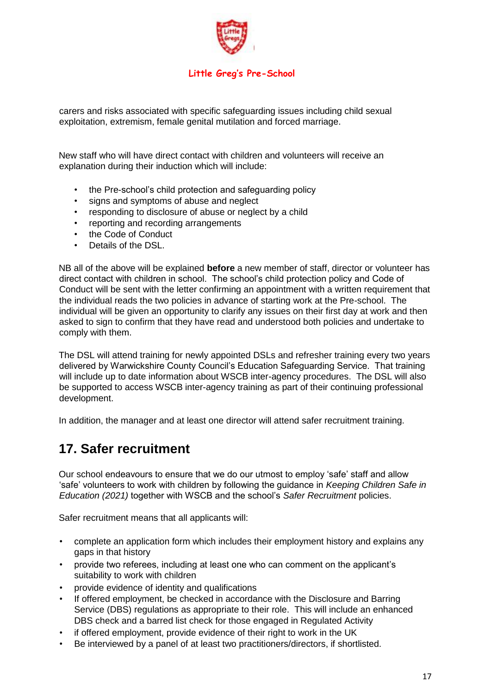

carers and risks associated with specific safeguarding issues including child sexual exploitation, extremism, female genital mutilation and forced marriage.

New staff who will have direct contact with children and volunteers will receive an explanation during their induction which will include:

- the Pre-school's child protection and safeguarding policy
- signs and symptoms of abuse and neglect
- responding to disclosure of abuse or neglect by a child
- reporting and recording arrangements
- the Code of Conduct
- Details of the DSL.

NB all of the above will be explained **before** a new member of staff, director or volunteer has direct contact with children in school. The school's child protection policy and Code of Conduct will be sent with the letter confirming an appointment with a written requirement that the individual reads the two policies in advance of starting work at the Pre-school. The individual will be given an opportunity to clarify any issues on their first day at work and then asked to sign to confirm that they have read and understood both policies and undertake to comply with them.

The DSL will attend training for newly appointed DSLs and refresher training every two years delivered by Warwickshire County Council's Education Safeguarding Service. That training will include up to date information about WSCB inter-agency procedures. The DSL will also be supported to access WSCB inter-agency training as part of their continuing professional development.

In addition, the manager and at least one director will attend safer recruitment training.

## **17. Safer recruitment**

Our school endeavours to ensure that we do our utmost to employ 'safe' staff and allow 'safe' volunteers to work with children by following the guidance in *Keeping Children Safe in Education (2021)* together with WSCB and the school's *Safer Recruitment* policies.

Safer recruitment means that all applicants will:

- complete an application form which includes their employment history and explains any gaps in that history
- provide two referees, including at least one who can comment on the applicant's suitability to work with children
- provide evidence of identity and qualifications
- If offered employment, be checked in accordance with the Disclosure and Barring Service (DBS) regulations as appropriate to their role. This will include an enhanced DBS check and a barred list check for those engaged in Regulated Activity
- if offered employment, provide evidence of their right to work in the UK
- Be interviewed by a panel of at least two practitioners/directors, if shortlisted.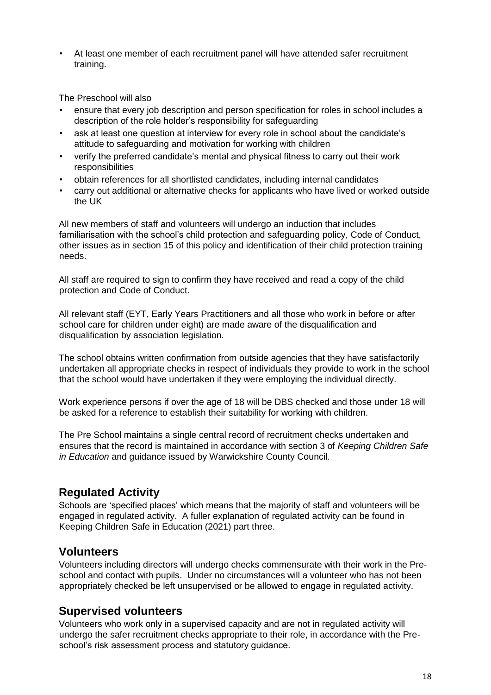• At least one member of each recruitment panel will have attended safer recruitment training.

The Preschool will also

- ensure that every job description and person specification for roles in school includes a description of the role holder's responsibility for safeguarding
- ask at least one question at interview for every role in school about the candidate's attitude to safeguarding and motivation for working with children
- verify the preferred candidate's mental and physical fitness to carry out their work responsibilities
- obtain references for all shortlisted candidates, including internal candidates
- carry out additional or alternative checks for applicants who have lived or worked outside the UK

All new members of staff and volunteers will undergo an induction that includes familiarisation with the school's child protection and safeguarding policy, Code of Conduct, other issues as in section 15 of this policy and identification of their child protection training needs.

All staff are required to sign to confirm they have received and read a copy of the child protection and Code of Conduct.

All relevant staff (EYT, Early Years Practitioners and all those who work in before or after school care for children under eight) are made aware of the disqualification and disqualification by association legislation.

The school obtains written confirmation from outside agencies that they have satisfactorily undertaken all appropriate checks in respect of individuals they provide to work in the school that the school would have undertaken if they were employing the individual directly.

Work experience persons if over the age of 18 will be DBS checked and those under 18 will be asked for a reference to establish their suitability for working with children.

The Pre School maintains a single central record of recruitment checks undertaken and ensures that the record is maintained in accordance with section 3 of *Keeping Children Safe in Education* and guidance issued by Warwickshire County Council.

## **Regulated Activity**

Schools are 'specified places' which means that the majority of staff and volunteers will be engaged in regulated activity. A fuller explanation of regulated activity can be found in Keeping Children Safe in Education (2021) part three.

## **Volunteers**

Volunteers including directors will undergo checks commensurate with their work in the Preschool and contact with pupils. Under no circumstances will a volunteer who has not been appropriately checked be left unsupervised or be allowed to engage in regulated activity.

## **Supervised volunteers**

Volunteers who work only in a supervised capacity and are not in regulated activity will undergo the safer recruitment checks appropriate to their role, in accordance with the Preschool's risk assessment process and statutory guidance.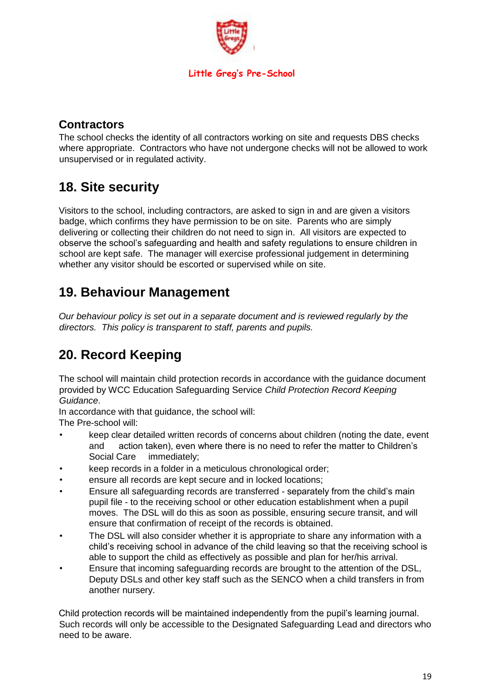

## **Contractors**

The school checks the identity of all contractors working on site and requests DBS checks where appropriate. Contractors who have not undergone checks will not be allowed to work unsupervised or in regulated activity.

# **18. Site security**

Visitors to the school, including contractors, are asked to sign in and are given a visitors badge, which confirms they have permission to be on site. Parents who are simply delivering or collecting their children do not need to sign in. All visitors are expected to observe the school's safeguarding and health and safety regulations to ensure children in school are kept safe. The manager will exercise professional judgement in determining whether any visitor should be escorted or supervised while on site.

# **19. Behaviour Management**

*Our behaviour policy is set out in a separate document and is reviewed regularly by the directors. This policy is transparent to staff, parents and pupils.* 

# **20. Record Keeping**

The school will maintain child protection records in accordance with the guidance document provided by WCC Education Safeguarding Service *Child Protection Record Keeping Guidance*.

In accordance with that guidance, the school will: The Pre-school will:

- keep clear detailed written records of concerns about children (noting the date, event and action taken), even where there is no need to refer the matter to Children's Social Care immediately;
- keep records in a folder in a meticulous chronological order;
- ensure all records are kept secure and in locked locations;
- Ensure all safeguarding records are transferred separately from the child's main pupil file - to the receiving school or other education establishment when a pupil moves. The DSL will do this as soon as possible, ensuring secure transit, and will ensure that confirmation of receipt of the records is obtained.
- The DSL will also consider whether it is appropriate to share any information with a child's receiving school in advance of the child leaving so that the receiving school is able to support the child as effectively as possible and plan for her/his arrival.
- Ensure that incoming safeguarding records are brought to the attention of the DSL, Deputy DSLs and other key staff such as the SENCO when a child transfers in from another nursery.

Child protection records will be maintained independently from the pupil's learning journal. Such records will only be accessible to the Designated Safeguarding Lead and directors who need to be aware.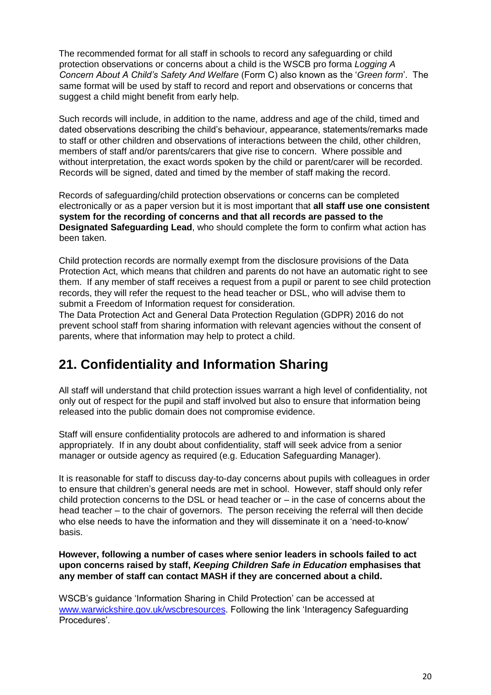The recommended format for all staff in schools to record any safeguarding or child protection observations or concerns about a child is the WSCB pro forma *Logging A Concern About A Child's Safety And Welfare* (Form C) also known as the '*Green form*'. The same format will be used by staff to record and report and observations or concerns that suggest a child might benefit from early help.

Such records will include, in addition to the name, address and age of the child, timed and dated observations describing the child's behaviour, appearance, statements/remarks made to staff or other children and observations of interactions between the child, other children, members of staff and/or parents/carers that give rise to concern. Where possible and without interpretation, the exact words spoken by the child or parent/carer will be recorded. Records will be signed, dated and timed by the member of staff making the record.

Records of safeguarding/child protection observations or concerns can be completed electronically or as a paper version but it is most important that **all staff use one consistent system for the recording of concerns and that all records are passed to the Designated Safeguarding Lead**, who should complete the form to confirm what action has been taken.

Child protection records are normally exempt from the disclosure provisions of the Data Protection Act, which means that children and parents do not have an automatic right to see them. If any member of staff receives a request from a pupil or parent to see child protection records, they will refer the request to the head teacher or DSL, who will advise them to submit a Freedom of Information request for consideration.

The Data Protection Act and General Data Protection Regulation (GDPR) 2016 do not prevent school staff from sharing information with relevant agencies without the consent of parents, where that information may help to protect a child.

## **21. Confidentiality and Information Sharing**

All staff will understand that child protection issues warrant a high level of confidentiality, not only out of respect for the pupil and staff involved but also to ensure that information being released into the public domain does not compromise evidence.

Staff will ensure confidentiality protocols are adhered to and information is shared appropriately. If in any doubt about confidentiality, staff will seek advice from a senior manager or outside agency as required (e.g. Education Safeguarding Manager).

It is reasonable for staff to discuss day-to-day concerns about pupils with colleagues in order to ensure that children's general needs are met in school. However, staff should only refer child protection concerns to the DSL or head teacher or – in the case of concerns about the head teacher – to the chair of governors. The person receiving the referral will then decide who else needs to have the information and they will disseminate it on a 'need-to-know' basis.

**However, following a number of cases where senior leaders in schools failed to act upon concerns raised by staff,** *Keeping Children Safe in Education* **emphasises that any member of staff can contact MASH if they are concerned about a child.** 

WSCB's guidance 'Information Sharing in Child Protection' can be accessed a[t](http://www.warwickshire.gov.uk/wscbresources) [www.warwickshire.gov.uk/wscbresources.](http://www.warwickshire.gov.uk/wscbresources) Following the link 'Interagency Safeguarding Procedures'.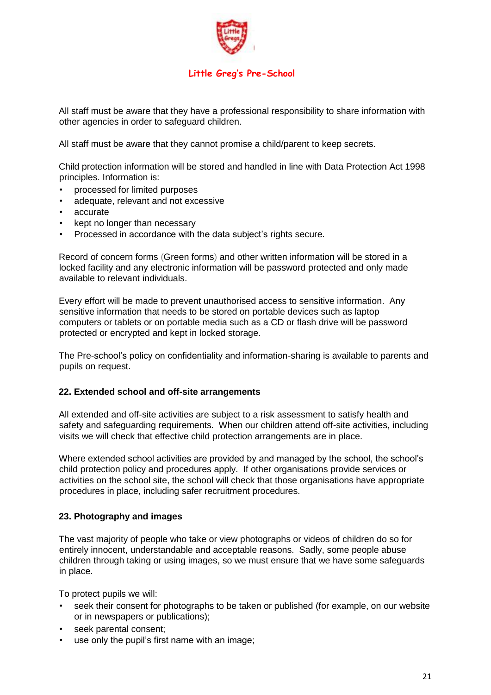

All staff must be aware that they have a professional responsibility to share information with other agencies in order to safeguard children.

All staff must be aware that they cannot promise a child/parent to keep secrets.

Child protection information will be stored and handled in line with Data Protection Act 1998 principles. Information is:

- processed for limited purposes
- adequate, relevant and not excessive
- accurate
- kept no longer than necessary
- Processed in accordance with the data subject's rights secure.

Record of concern forms (Green forms) and other written information will be stored in a locked facility and any electronic information will be password protected and only made available to relevant individuals.

Every effort will be made to prevent unauthorised access to sensitive information. Any sensitive information that needs to be stored on portable devices such as laptop computers or tablets or on portable media such as a CD or flash drive will be password protected or encrypted and kept in locked storage.

The Pre-school's policy on confidentiality and information-sharing is available to parents and pupils on request.

### **22. Extended school and off-site arrangements**

All extended and off-site activities are subject to a risk assessment to satisfy health and safety and safeguarding requirements. When our children attend off-site activities, including visits we will check that effective child protection arrangements are in place.

Where extended school activities are provided by and managed by the school, the school's child protection policy and procedures apply. If other organisations provide services or activities on the school site, the school will check that those organisations have appropriate procedures in place, including safer recruitment procedures.

### **23. Photography and images**

The vast majority of people who take or view photographs or videos of children do so for entirely innocent, understandable and acceptable reasons. Sadly, some people abuse children through taking or using images, so we must ensure that we have some safeguards in place.

To protect pupils we will:

- seek their consent for photographs to be taken or published (for example, on our website or in newspapers or publications);
- seek parental consent;
- use only the pupil's first name with an image;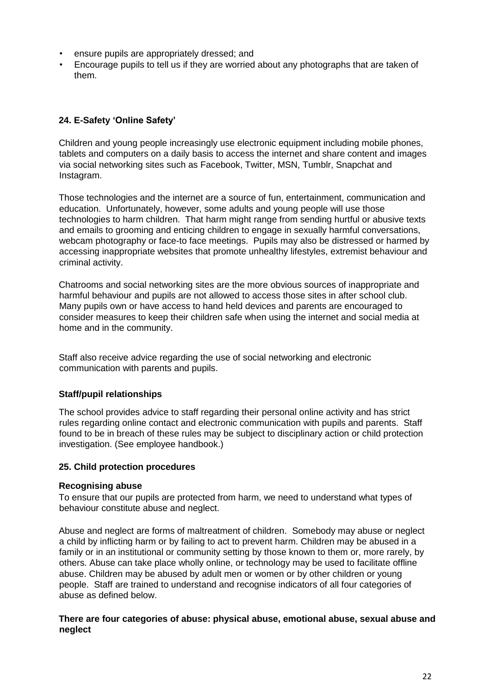- ensure pupils are appropriately dressed; and
- Encourage pupils to tell us if they are worried about any photographs that are taken of them.

### **24. E-Safety 'Online Safety'**

Children and young people increasingly use electronic equipment including mobile phones, tablets and computers on a daily basis to access the internet and share content and images via social networking sites such as Facebook, Twitter, MSN, Tumblr, Snapchat and Instagram.

Those technologies and the internet are a source of fun, entertainment, communication and education. Unfortunately, however, some adults and young people will use those technologies to harm children. That harm might range from sending hurtful or abusive texts and emails to grooming and enticing children to engage in sexually harmful conversations, webcam photography or face-to face meetings. Pupils may also be distressed or harmed by accessing inappropriate websites that promote unhealthy lifestyles, extremist behaviour and criminal activity.

Chatrooms and social networking sites are the more obvious sources of inappropriate and harmful behaviour and pupils are not allowed to access those sites in after school club. Many pupils own or have access to hand held devices and parents are encouraged to consider measures to keep their children safe when using the internet and social media at home and in the community.

Staff also receive advice regarding the use of social networking and electronic communication with parents and pupils.

### **Staff/pupil relationships**

The school provides advice to staff regarding their personal online activity and has strict rules regarding online contact and electronic communication with pupils and parents. Staff found to be in breach of these rules may be subject to disciplinary action or child protection investigation. (See employee handbook.)

### **25. Child protection procedures**

#### **Recognising abuse**

To ensure that our pupils are protected from harm, we need to understand what types of behaviour constitute abuse and neglect.

Abuse and neglect are forms of maltreatment of children. Somebody may abuse or neglect a child by inflicting harm or by failing to act to prevent harm. Children may be abused in a family or in an institutional or community setting by those known to them or, more rarely, by others. Abuse can take place wholly online, or technology may be used to facilitate offline abuse. Children may be abused by adult men or women or by other children or young people. Staff are trained to understand and recognise indicators of all four categories of abuse as defined below.

#### **There are four categories of abuse: physical abuse, emotional abuse, sexual abuse and neglect**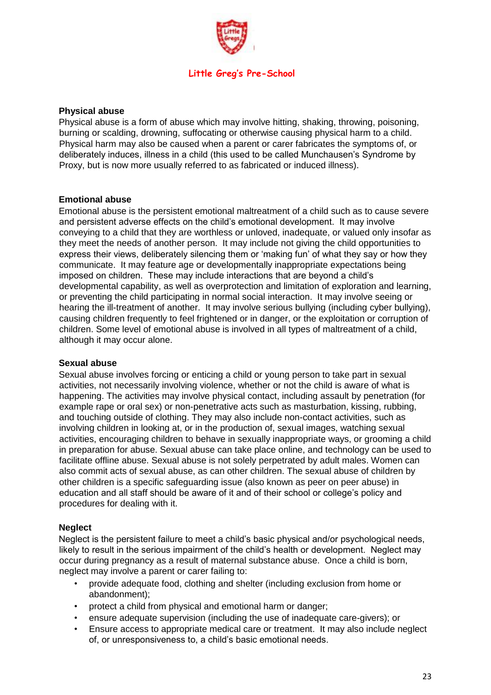

### **Physical abuse**

Physical abuse is a form of abuse which may involve hitting, shaking, throwing, poisoning, burning or scalding, drowning, suffocating or otherwise causing physical harm to a child. Physical harm may also be caused when a parent or carer fabricates the symptoms of, or deliberately induces, illness in a child (this used to be called Munchausen's Syndrome by Proxy, but is now more usually referred to as fabricated or induced illness).

### **Emotional abuse**

Emotional abuse is the persistent emotional maltreatment of a child such as to cause severe and persistent adverse effects on the child's emotional development. It may involve conveying to a child that they are worthless or unloved, inadequate, or valued only insofar as they meet the needs of another person. It may include not giving the child opportunities to express their views, deliberately silencing them or 'making fun' of what they say or how they communicate. It may feature age or developmentally inappropriate expectations being imposed on children. These may include interactions that are beyond a child's developmental capability, as well as overprotection and limitation of exploration and learning, or preventing the child participating in normal social interaction. It may involve seeing or hearing the ill-treatment of another. It may involve serious bullying (including cyber bullying), causing children frequently to feel frightened or in danger, or the exploitation or corruption of children. Some level of emotional abuse is involved in all types of maltreatment of a child, although it may occur alone.

### **Sexual abuse**

Sexual abuse involves forcing or enticing a child or young person to take part in sexual activities, not necessarily involving violence, whether or not the child is aware of what is happening. The activities may involve physical contact, including assault by penetration (for example rape or oral sex) or non-penetrative acts such as masturbation, kissing, rubbing, and touching outside of clothing. They may also include non-contact activities, such as involving children in looking at, or in the production of, sexual images, watching sexual activities, encouraging children to behave in sexually inappropriate ways, or grooming a child in preparation for abuse. Sexual abuse can take place online, and technology can be used to facilitate offline abuse. Sexual abuse is not solely perpetrated by adult males. Women can also commit acts of sexual abuse, as can other children. The sexual abuse of children by other children is a specific safeguarding issue (also known as peer on peer abuse) in education and all staff should be aware of it and of their school or college's policy and procedures for dealing with it.

### **Neglect**

Neglect is the persistent failure to meet a child's basic physical and/or psychological needs, likely to result in the serious impairment of the child's health or development. Neglect may occur during pregnancy as a result of maternal substance abuse. Once a child is born, neglect may involve a parent or carer failing to:

- provide adequate food, clothing and shelter (including exclusion from home or abandonment);
- protect a child from physical and emotional harm or danger;
- ensure adequate supervision (including the use of inadequate care-givers); or
- Ensure access to appropriate medical care or treatment. It may also include neglect of, or unresponsiveness to, a child's basic emotional needs.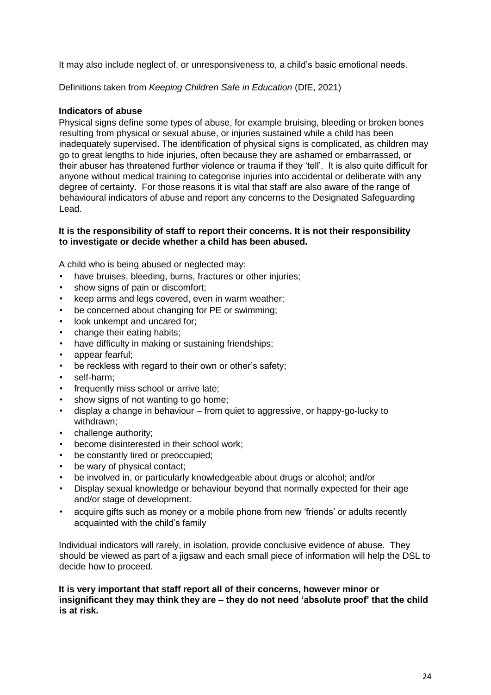It may also include neglect of, or unresponsiveness to, a child's basic emotional needs.

Definitions taken from *Keeping Children Safe in Education* (DfE, 2021)

### **Indicators of abuse**

Physical signs define some types of abuse, for example bruising, bleeding or broken bones resulting from physical or sexual abuse, or injuries sustained while a child has been inadequately supervised. The identification of physical signs is complicated, as children may go to great lengths to hide injuries, often because they are ashamed or embarrassed, or their abuser has threatened further violence or trauma if they 'tell'. It is also quite difficult for anyone without medical training to categorise injuries into accidental or deliberate with any degree of certainty. For those reasons it is vital that staff are also aware of the range of behavioural indicators of abuse and report any concerns to the Designated Safeguarding Lead.

#### **It is the responsibility of staff to report their concerns. It is not their responsibility to investigate or decide whether a child has been abused.**

A child who is being abused or neglected may:

- have bruises, bleeding, burns, fractures or other injuries;
- show signs of pain or discomfort;
- keep arms and legs covered, even in warm weather;
- be concerned about changing for PE or swimming;
- look unkempt and uncared for:
- change their eating habits;
- have difficulty in making or sustaining friendships:
- appear fearful;
- be reckless with regard to their own or other's safety;
- self-harm:
- frequently miss school or arrive late;
- show signs of not wanting to go home;
- display a change in behaviour from quiet to aggressive, or happy-go-lucky to withdrawn;
- challenge authority;
- become disinterested in their school work;
- be constantly tired or preoccupied;
- be wary of physical contact;
- be involved in, or particularly knowledgeable about drugs or alcohol; and/or
- Display sexual knowledge or behaviour beyond that normally expected for their age and/or stage of development.
- acquire gifts such as money or a mobile phone from new 'friends' or adults recently acquainted with the child's family

Individual indicators will rarely, in isolation, provide conclusive evidence of abuse. They should be viewed as part of a jigsaw and each small piece of information will help the DSL to decide how to proceed.

**It is very important that staff report all of their concerns, however minor or insignificant they may think they are – they do not need 'absolute proof' that the child is at risk.**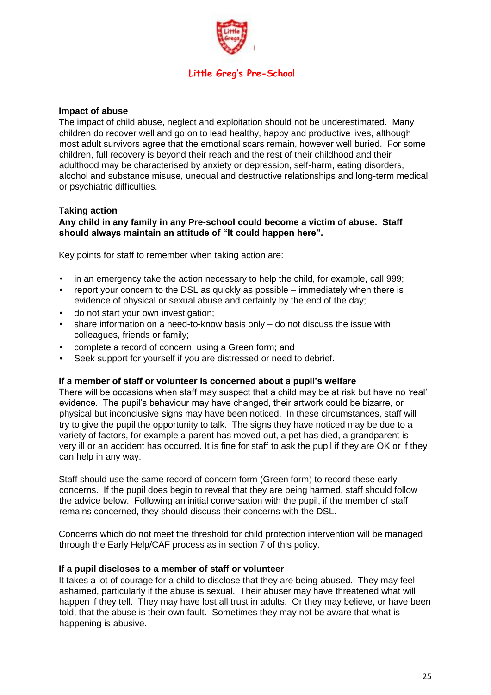

#### **Impact of abuse**

The impact of child abuse, neglect and exploitation should not be underestimated. Many children do recover well and go on to lead healthy, happy and productive lives, although most adult survivors agree that the emotional scars remain, however well buried. For some children, full recovery is beyond their reach and the rest of their childhood and their adulthood may be characterised by anxiety or depression, self-harm, eating disorders, alcohol and substance misuse, unequal and destructive relationships and long-term medical or psychiatric difficulties.

#### **Taking action**

### **Any child in any family in any Pre-school could become a victim of abuse. Staff should always maintain an attitude of "It could happen here".**

Key points for staff to remember when taking action are:

- in an emergency take the action necessary to help the child, for example, call 999;
- report your concern to the DSL as quickly as possible immediately when there is evidence of physical or sexual abuse and certainly by the end of the day;
- do not start your own investigation;
- share information on a need-to-know basis only do not discuss the issue with colleagues, friends or family;
- complete a record of concern, using a Green form; and
- Seek support for yourself if you are distressed or need to debrief.

#### **If a member of staff or volunteer is concerned about a pupil's welfare**

There will be occasions when staff may suspect that a child may be at risk but have no 'real' evidence. The pupil's behaviour may have changed, their artwork could be bizarre, or physical but inconclusive signs may have been noticed. In these circumstances, staff will try to give the pupil the opportunity to talk. The signs they have noticed may be due to a variety of factors, for example a parent has moved out, a pet has died, a grandparent is very ill or an accident has occurred. It is fine for staff to ask the pupil if they are OK or if they can help in any way.

Staff should use the same record of concern form (Green form) to record these early concerns. If the pupil does begin to reveal that they are being harmed, staff should follow the advice below. Following an initial conversation with the pupil, if the member of staff remains concerned, they should discuss their concerns with the DSL.

Concerns which do not meet the threshold for child protection intervention will be managed through the Early Help/CAF process as in section 7 of this policy.

#### **If a pupil discloses to a member of staff or volunteer**

It takes a lot of courage for a child to disclose that they are being abused. They may feel ashamed, particularly if the abuse is sexual. Their abuser may have threatened what will happen if they tell. They may have lost all trust in adults. Or they may believe, or have been told, that the abuse is their own fault. Sometimes they may not be aware that what is happening is abusive.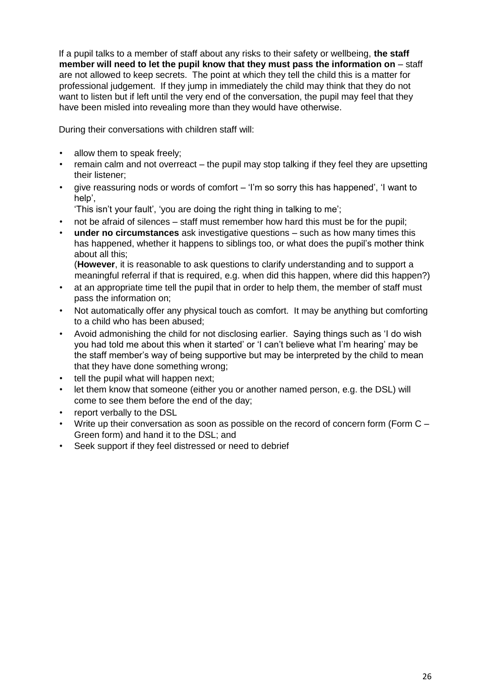If a pupil talks to a member of staff about any risks to their safety or wellbeing, **the staff member will need to let the pupil know that they must pass the information on** – staff are not allowed to keep secrets. The point at which they tell the child this is a matter for professional judgement. If they jump in immediately the child may think that they do not want to listen but if left until the very end of the conversation, the pupil may feel that they have been misled into revealing more than they would have otherwise.

During their conversations with children staff will:

- allow them to speak freely;
- remain calm and not overreact the pupil may stop talking if they feel they are upsetting their listener;
- give reassuring nods or words of comfort 'I'm so sorry this has happened', 'I want to help',

'This isn't your fault', 'you are doing the right thing in talking to me';

- not be afraid of silences staff must remember how hard this must be for the pupil;
- **under no circumstances** ask investigative questions such as how many times this has happened, whether it happens to siblings too, or what does the pupil's mother think about all this;

(**However**, it is reasonable to ask questions to clarify understanding and to support a meaningful referral if that is required, e.g. when did this happen, where did this happen?)

- at an appropriate time tell the pupil that in order to help them, the member of staff must pass the information on;
- Not automatically offer any physical touch as comfort. It may be anything but comforting to a child who has been abused;
- Avoid admonishing the child for not disclosing earlier. Saying things such as 'I do wish you had told me about this when it started' or 'I can't believe what I'm hearing' may be the staff member's way of being supportive but may be interpreted by the child to mean that they have done something wrong;
- tell the pupil what will happen next;
- let them know that someone (either you or another named person, e.g. the DSL) will come to see them before the end of the day;
- report verbally to the DSL
- Write up their conversation as soon as possible on the record of concern form (Form  $C -$ Green form) and hand it to the DSL; and
- Seek support if they feel distressed or need to debrief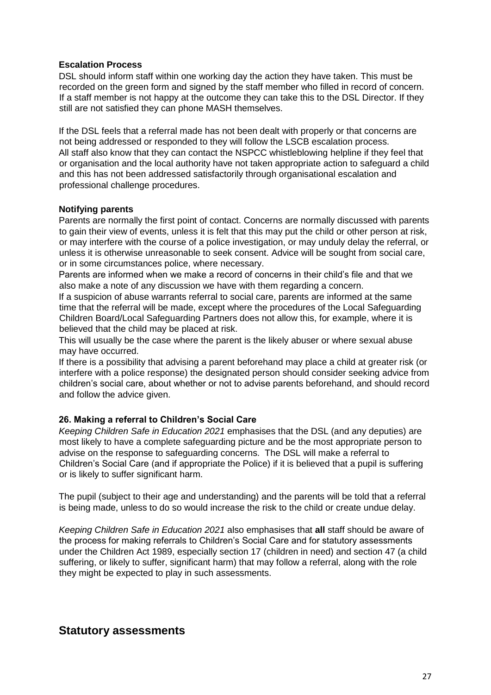### **Escalation Process**

DSL should inform staff within one working day the action they have taken. This must be recorded on the green form and signed by the staff member who filled in record of concern. If a staff member is not happy at the outcome they can take this to the DSL Director. If they still are not satisfied they can phone MASH themselves.

If the DSL feels that a referral made has not been dealt with properly or that concerns are not being addressed or responded to they will follow the LSCB escalation process. All staff also know that they can contact the NSPCC whistleblowing helpline if they feel that or organisation and the local authority have not taken appropriate action to safeguard a child and this has not been addressed satisfactorily through organisational escalation and professional challenge procedures.

### **Notifying parents**

Parents are normally the first point of contact. Concerns are normally discussed with parents to gain their view of events, unless it is felt that this may put the child or other person at risk, or may interfere with the course of a police investigation, or may unduly delay the referral, or unless it is otherwise unreasonable to seek consent. Advice will be sought from social care, or in some circumstances police, where necessary.

Parents are informed when we make a record of concerns in their child's file and that we also make a note of any discussion we have with them regarding a concern.

If a suspicion of abuse warrants referral to social care, parents are informed at the same time that the referral will be made, except where the procedures of the Local Safeguarding Children Board/Local Safeguarding Partners does not allow this, for example, where it is believed that the child may be placed at risk.

This will usually be the case where the parent is the likely abuser or where sexual abuse may have occurred.

If there is a possibility that advising a parent beforehand may place a child at greater risk (or interfere with a police response) the designated person should consider seeking advice from children's social care, about whether or not to advise parents beforehand, and should record and follow the advice given.

### **26. Making a referral to Children's Social Care**

*Keeping Children Safe in Education 2021* emphasises that the DSL (and any deputies) are most likely to have a complete safeguarding picture and be the most appropriate person to advise on the response to safeguarding concerns. The DSL will make a referral to Children's Social Care (and if appropriate the Police) if it is believed that a pupil is suffering or is likely to suffer significant harm.

The pupil (subject to their age and understanding) and the parents will be told that a referral is being made, unless to do so would increase the risk to the child or create undue delay.

*Keeping Children Safe in Education 2021* also emphasises that **all** staff should be aware of the process for making referrals to Children's Social Care and for statutory assessments under the Children Act 1989, especially section 17 (children in need) and section 47 (a child suffering, or likely to suffer, significant harm) that may follow a referral, along with the role they might be expected to play in such assessments.

## **Statutory assessments**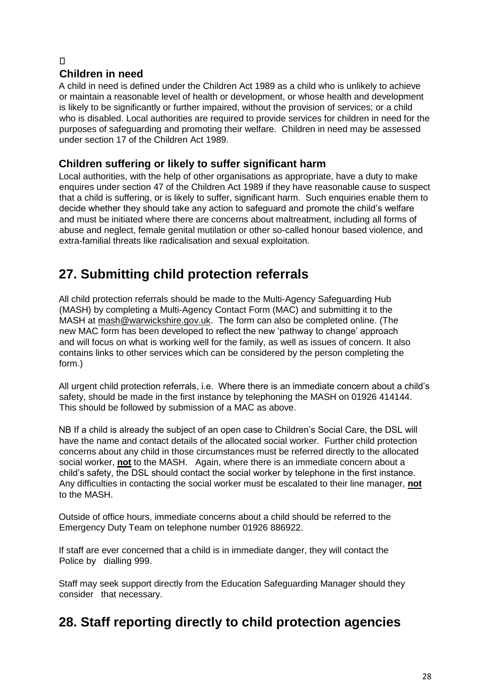### $\Box$ **Children in need**

A child in need is defined under the Children Act 1989 as a child who is unlikely to achieve or maintain a reasonable level of health or development, or whose health and development is likely to be significantly or further impaired, without the provision of services; or a child who is disabled. Local authorities are required to provide services for children in need for the purposes of safeguarding and promoting their welfare. Children in need may be assessed under section 17 of the Children Act 1989.

## **Children suffering or likely to suffer significant harm**

Local authorities, with the help of other organisations as appropriate, have a duty to make enquires under section 47 of the Children Act 1989 if they have reasonable cause to suspect that a child is suffering, or is likely to suffer, significant harm. Such enquiries enable them to decide whether they should take any action to safeguard and promote the child's welfare and must be initiated where there are concerns about maltreatment, including all forms of abuse and neglect, female genital mutilation or other so-called honour based violence, and extra-familial threats like radicalisation and sexual exploitation.

# **27. Submitting child protection referrals**

All child protection referrals should be made to the Multi-Agency Safeguarding Hub (MASH) by completing a Multi-Agency Contact Form (MAC) and submitting it to the MASH at mash@warwickshire.gov.uk. The form can also be completed online. (The new MAC form has been developed to reflect the new 'pathway to change' approach and will focus on what is working well for the family, as well as issues of concern. It also contains links to other services which can be considered by the person completing the form.)

All urgent child protection referrals, i.e. Where there is an immediate concern about a child's safety, should be made in the first instance by telephoning the MASH on 01926 414144. This should be followed by submission of a MAC as above.

NB If a child is already the subject of an open case to Children's Social Care, the DSL will have the name and contact details of the allocated social worker. Further child protection concerns about any child in those circumstances must be referred directly to the allocated social worker, **not** to the MASH. Again, where there is an immediate concern about a child's safety, the DSL should contact the social worker by telephone in the first instance. Any difficulties in contacting the social worker must be escalated to their line manager, **not** to the MASH.

Outside of office hours, immediate concerns about a child should be referred to the Emergency Duty Team on telephone number 01926 886922.

If staff are ever concerned that a child is in immediate danger, they will contact the Police by dialling 999.

Staff may seek support directly from the Education Safeguarding Manager should they consider that necessary.

## **28. Staff reporting directly to child protection agencies**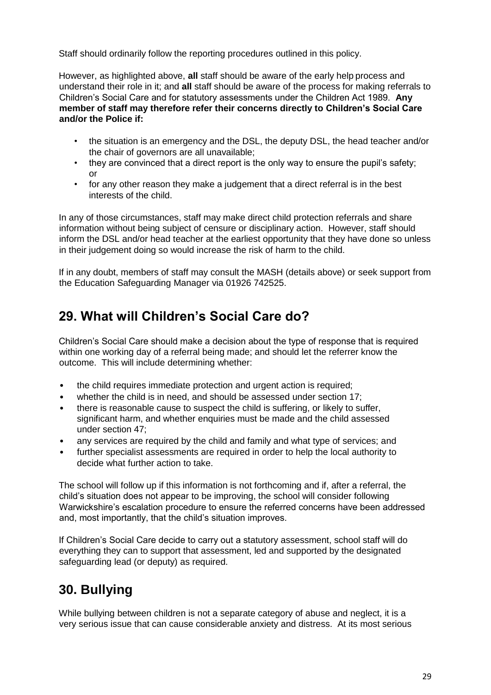Staff should ordinarily follow the reporting procedures outlined in this policy.

However, as highlighted above, **all** staff should be aware of the early help process and understand their role in it; and **all** staff should be aware of the process for making referrals to Children's Social Care and for statutory assessments under the Children Act 1989. **Any member of staff may therefore refer their concerns directly to Children's Social Care and/or the Police if:** 

- the situation is an emergency and the DSL, the deputy DSL, the head teacher and/or the chair of governors are all unavailable;
- they are convinced that a direct report is the only way to ensure the pupil's safety: or
- for any other reason they make a judgement that a direct referral is in the best interests of the child.

In any of those circumstances, staff may make direct child protection referrals and share information without being subject of censure or disciplinary action. However, staff should inform the DSL and/or head teacher at the earliest opportunity that they have done so unless in their judgement doing so would increase the risk of harm to the child.

If in any doubt, members of staff may consult the MASH (details above) or seek support from the Education Safeguarding Manager via 01926 742525.

# **29. What will Children's Social Care do?**

Children's Social Care should make a decision about the type of response that is required within one working day of a referral being made; and should let the referrer know the outcome. This will include determining whether:

- the child requires immediate protection and urgent action is required;
- whether the child is in need, and should be assessed under section 17;
- there is reasonable cause to suspect the child is suffering, or likely to suffer, significant harm, and whether enquiries must be made and the child assessed under section 47;
- any services are required by the child and family and what type of services; and
- further specialist assessments are required in order to help the local authority to decide what further action to take.

The school will follow up if this information is not forthcoming and if, after a referral, the child's situation does not appear to be improving, the school will consider following Warwickshire's escalation procedure to ensure the referred concerns have been addressed and, most importantly, that the child's situation improves.

If Children's Social Care decide to carry out a statutory assessment, school staff will do everything they can to support that assessment, led and supported by the designated safeguarding lead (or deputy) as required.

# **30. Bullying**

While bullying between children is not a separate category of abuse and neglect, it is a very serious issue that can cause considerable anxiety and distress. At its most serious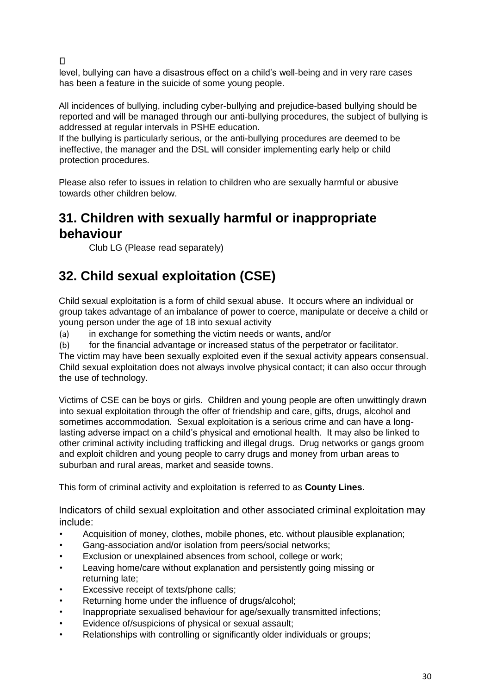level, bullying can have a disastrous effect on a child's well-being and in very rare cases has been a feature in the suicide of some young people.

All incidences of bullying, including cyber-bullying and prejudice-based bullying should be reported and will be managed through our anti-bullying procedures, the subject of bullying is addressed at regular intervals in PSHE education.

If the bullying is particularly serious, or the anti-bullying procedures are deemed to be ineffective, the manager and the DSL will consider implementing early help or child protection procedures.

Please also refer to issues in relation to children who are sexually harmful or abusive towards other children below.

## **31. Children with sexually harmful or inappropriate behaviour**

Club LG (Please read separately)

# **32. Child sexual exploitation (CSE)**

Child sexual exploitation is a form of child sexual abuse. It occurs where an individual or group takes advantage of an imbalance of power to coerce, manipulate or deceive a child or young person under the age of 18 into sexual activity

(a) in exchange for something the victim needs or wants, and/or

(b) for the financial advantage or increased status of the perpetrator or facilitator.

The victim may have been sexually exploited even if the sexual activity appears consensual. Child sexual exploitation does not always involve physical contact; it can also occur through the use of technology.

Victims of CSE can be boys or girls. Children and young people are often unwittingly drawn into sexual exploitation through the offer of friendship and care, gifts, drugs, alcohol and sometimes accommodation. Sexual exploitation is a serious crime and can have a longlasting adverse impact on a child's physical and emotional health. It may also be linked to other criminal activity including trafficking and illegal drugs. Drug networks or gangs groom and exploit children and young people to carry drugs and money from urban areas to suburban and rural areas, market and seaside towns.

This form of criminal activity and exploitation is referred to as **County Lines**.

Indicators of child sexual exploitation and other associated criminal exploitation may include:

- Acquisition of money, clothes, mobile phones, etc. without plausible explanation;
- Gang-association and/or isolation from peers/social networks;
- Exclusion or unexplained absences from school, college or work;
- Leaving home/care without explanation and persistently going missing or returning late;
- Excessive receipt of texts/phone calls;
- Returning home under the influence of drugs/alcohol;
- Inappropriate sexualised behaviour for age/sexually transmitted infections;
- Evidence of/suspicions of physical or sexual assault;
- Relationships with controlling or significantly older individuals or groups;

 $\Box$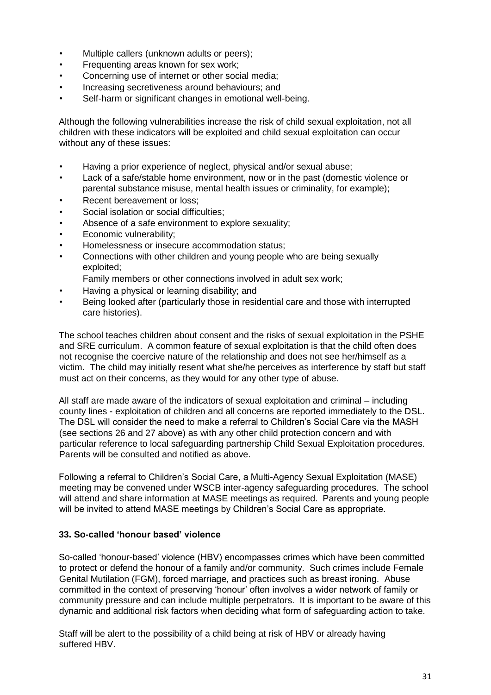- Multiple callers (unknown adults or peers);
- Frequenting areas known for sex work;
- Concerning use of internet or other social media;
- Increasing secretiveness around behaviours; and
- Self-harm or significant changes in emotional well-being.

Although the following vulnerabilities increase the risk of child sexual exploitation, not all children with these indicators will be exploited and child sexual exploitation can occur without any of these issues:

- Having a prior experience of neglect, physical and/or sexual abuse;
- Lack of a safe/stable home environment, now or in the past (domestic violence or parental substance misuse, mental health issues or criminality, for example);
- Recent bereavement or loss:
- Social isolation or social difficulties;
- Absence of a safe environment to explore sexuality:
- Economic vulnerability:
- Homelessness or insecure accommodation status;
- Connections with other children and young people who are being sexually exploited;

Family members or other connections involved in adult sex work;

- Having a physical or learning disability; and
- Being looked after (particularly those in residential care and those with interrupted care histories).

The school teaches children about consent and the risks of sexual exploitation in the PSHE and SRE curriculum. A common feature of sexual exploitation is that the child often does not recognise the coercive nature of the relationship and does not see her/himself as a victim. The child may initially resent what she/he perceives as interference by staff but staff must act on their concerns, as they would for any other type of abuse.

All staff are made aware of the indicators of sexual exploitation and criminal – including county lines - exploitation of children and all concerns are reported immediately to the DSL. The DSL will consider the need to make a referral to Children's Social Care via the MASH (see sections 26 and 27 above) as with any other child protection concern and with particular reference to local safeguarding partnership Child Sexual Exploitation procedures. Parents will be consulted and notified as above.

Following a referral to Children's Social Care, a Multi-Agency Sexual Exploitation (MASE) meeting may be convened under WSCB inter-agency safeguarding procedures. The school will attend and share information at MASE meetings as required. Parents and young people will be invited to attend MASE meetings by Children's Social Care as appropriate.

### **33. So-called 'honour based' violence**

So-called 'honour-based' violence (HBV) encompasses crimes which have been committed to protect or defend the honour of a family and/or community. Such crimes include Female Genital Mutilation (FGM), forced marriage, and practices such as breast ironing. Abuse committed in the context of preserving 'honour' often involves a wider network of family or community pressure and can include multiple perpetrators. It is important to be aware of this dynamic and additional risk factors when deciding what form of safeguarding action to take.

Staff will be alert to the possibility of a child being at risk of HBV or already having suffered HBV.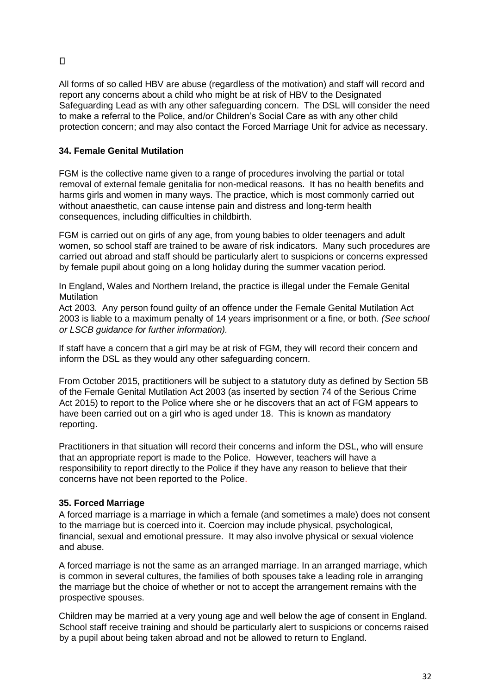All forms of so called HBV are abuse (regardless of the motivation) and staff will record and report any concerns about a child who might be at risk of HBV to the Designated Safeguarding Lead as with any other safeguarding concern. The DSL will consider the need to make a referral to the Police, and/or Children's Social Care as with any other child protection concern; and may also contact the Forced Marriage Unit for advice as necessary.

### **34. Female Genital Mutilation**

FGM is the collective name given to a range of procedures involving the partial or total removal of external female genitalia for non-medical reasons. It has no health benefits and harms girls and women in many ways. The practice, which is most commonly carried out without anaesthetic, can cause intense pain and distress and long-term health consequences, including difficulties in childbirth.

FGM is carried out on girls of any age, from young babies to older teenagers and adult women, so school staff are trained to be aware of risk indicators. Many such procedures are carried out abroad and staff should be particularly alert to suspicions or concerns expressed by female pupil about going on a long holiday during the summer vacation period.

In England, Wales and Northern Ireland, the practice is illegal under the Female Genital **Mutilation** 

Act 2003. Any person found guilty of an offence under the Female Genital Mutilation Act 2003 is liable to a maximum penalty of 14 years imprisonment or a fine, or both. *(See school or LSCB guidance for further information).* 

If staff have a concern that a girl may be at risk of FGM, they will record their concern and inform the DSL as they would any other safeguarding concern.

From October 2015, practitioners will be subject to a statutory duty as defined by Section 5B of the Female Genital Mutilation Act 2003 (as inserted by section 74 of the Serious Crime Act 2015) to report to the Police where she or he discovers that an act of FGM appears to have been carried out on a girl who is aged under 18. This is known as mandatory reporting.

Practitioners in that situation will record their concerns and inform the DSL, who will ensure that an appropriate report is made to the Police. However, teachers will have a responsibility to report directly to the Police if they have any reason to believe that their concerns have not been reported to the Police.

### **35. Forced Marriage**

A forced marriage is a marriage in which a female (and sometimes a male) does not consent to the marriage but is coerced into it. Coercion may include physical, psychological, financial, sexual and emotional pressure. It may also involve physical or sexual violence and abuse.

A forced marriage is not the same as an arranged marriage. In an arranged marriage, which is common in several cultures, the families of both spouses take a leading role in arranging the marriage but the choice of whether or not to accept the arrangement remains with the prospective spouses.

Children may be married at a very young age and well below the age of consent in England. School staff receive training and should be particularly alert to suspicions or concerns raised by a pupil about being taken abroad and not be allowed to return to England.

 $\Box$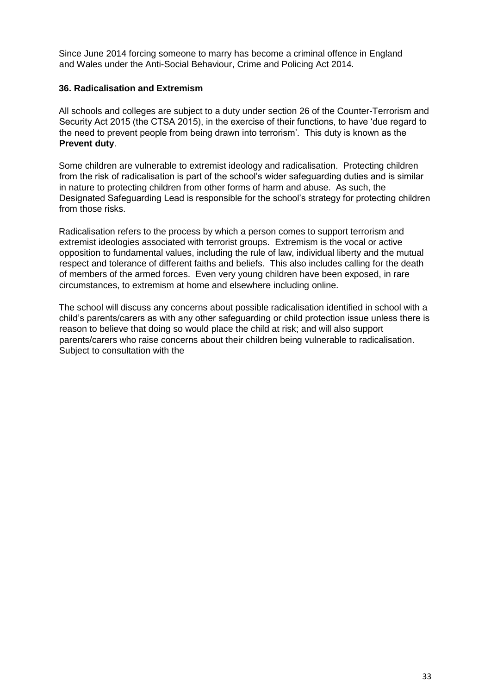Since June 2014 forcing someone to marry has become a criminal offence in England and Wales under the Anti-Social Behaviour, Crime and Policing Act 2014*.* 

### **36. Radicalisation and Extremism**

All schools and colleges are subject to a duty under section 26 of the Counter-Terrorism and Security Act 2015 (the CTSA 2015), in the exercise of their functions, to have 'due regard to the need to prevent people from being drawn into terrorism'. This duty is known as the **Prevent duty**.

Some children are vulnerable to extremist ideology and radicalisation. Protecting children from the risk of radicalisation is part of the school's wider safeguarding duties and is similar in nature to protecting children from other forms of harm and abuse. As such, the Designated Safeguarding Lead is responsible for the school's strategy for protecting children from those risks.

Radicalisation refers to the process by which a person comes to support terrorism and extremist ideologies associated with terrorist groups. Extremism is the vocal or active opposition to fundamental values, including the rule of law, individual liberty and the mutual respect and tolerance of different faiths and beliefs. This also includes calling for the death of members of the armed forces. Even very young children have been exposed, in rare circumstances, to extremism at home and elsewhere including online.

The school will discuss any concerns about possible radicalisation identified in school with a child's parents/carers as with any other safeguarding or child protection issue unless there is reason to believe that doing so would place the child at risk; and will also support parents/carers who raise concerns about their children being vulnerable to radicalisation. Subject to consultation with the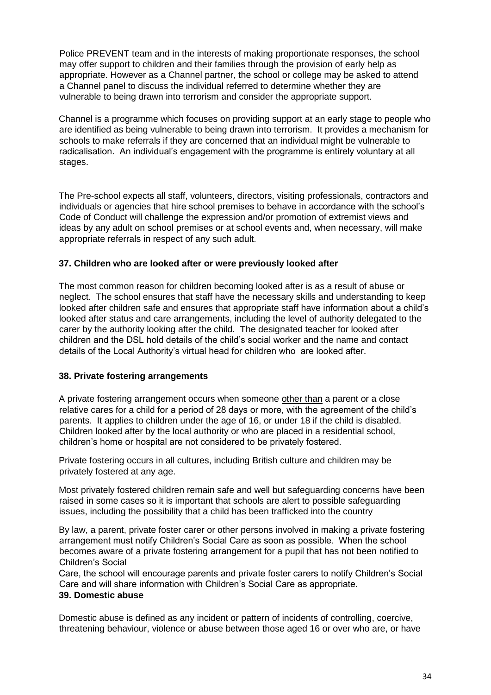Police PREVENT team and in the interests of making proportionate responses, the school may offer support to children and their families through the provision of early help as appropriate. However as a Channel partner, the school or college may be asked to attend a Channel panel to discuss the individual referred to determine whether they are vulnerable to being drawn into terrorism and consider the appropriate support.

Channel is a programme which focuses on providing support at an early stage to people who are identified as being vulnerable to being drawn into terrorism. It provides a mechanism for schools to make referrals if they are concerned that an individual might be vulnerable to radicalisation. An individual's engagement with the programme is entirely voluntary at all stages.

The Pre-school expects all staff, volunteers, directors, visiting professionals, contractors and individuals or agencies that hire school premises to behave in accordance with the school's Code of Conduct will challenge the expression and/or promotion of extremist views and ideas by any adult on school premises or at school events and, when necessary, will make appropriate referrals in respect of any such adult.

### **37. Children who are looked after or were previously looked after**

The most common reason for children becoming looked after is as a result of abuse or neglect. The school ensures that staff have the necessary skills and understanding to keep looked after children safe and ensures that appropriate staff have information about a child's looked after status and care arrangements, including the level of authority delegated to the carer by the authority looking after the child. The designated teacher for looked after children and the DSL hold details of the child's social worker and the name and contact details of the Local Authority's virtual head for children who are looked after.

### **38. Private fostering arrangements**

A private fostering arrangement occurs when someone other than a parent or a close relative cares for a child for a period of 28 days or more, with the agreement of the child's parents. It applies to children under the age of 16, or under 18 if the child is disabled. Children looked after by the local authority or who are placed in a residential school, children's home or hospital are not considered to be privately fostered.

Private fostering occurs in all cultures, including British culture and children may be privately fostered at any age.

Most privately fostered children remain safe and well but safeguarding concerns have been raised in some cases so it is important that schools are alert to possible safeguarding issues, including the possibility that a child has been trafficked into the country

By law, a parent, private foster carer or other persons involved in making a private fostering arrangement must notify Children's Social Care as soon as possible. When the school becomes aware of a private fostering arrangement for a pupil that has not been notified to Children's Social

Care, the school will encourage parents and private foster carers to notify Children's Social Care and will share information with Children's Social Care as appropriate. **39. Domestic abuse**

Domestic abuse is defined as any incident or pattern of incidents of controlling, coercive, threatening behaviour, violence or abuse between those aged 16 or over who are, or have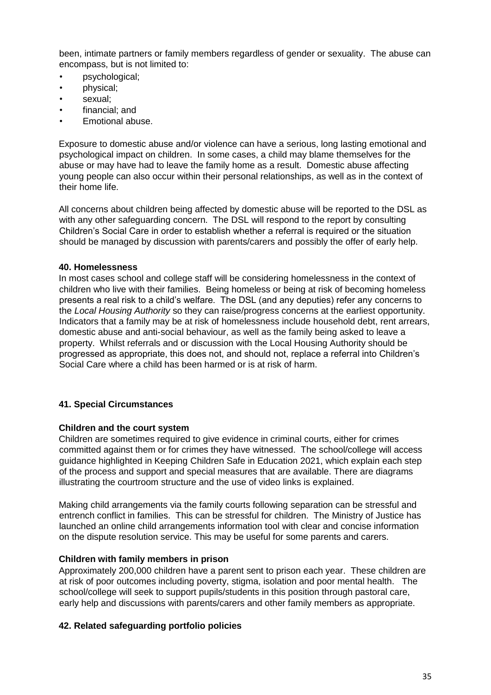been, intimate partners or family members regardless of gender or sexuality. The abuse can encompass, but is not limited to:

- psychological;
- physical;
- sexual;
- financial: and
- Emotional abuse.

Exposure to domestic abuse and/or violence can have a serious, long lasting emotional and psychological impact on children. In some cases, a child may blame themselves for the abuse or may have had to leave the family home as a result. Domestic abuse affecting young people can also occur within their personal relationships, as well as in the context of their home life.

All concerns about children being affected by domestic abuse will be reported to the DSL as with any other safeguarding concern. The DSL will respond to the report by consulting Children's Social Care in order to establish whether a referral is required or the situation should be managed by discussion with parents/carers and possibly the offer of early help.

### **40. Homelessness**

In most cases school and college staff will be considering homelessness in the context of children who live with their families. Being homeless or being at risk of becoming homeless presents a real risk to a child's welfare. The DSL (and any deputies) refer any concerns to the *Local Housing Authority* so they can raise/progress concerns at the earliest opportunity. Indicators that a family may be at risk of homelessness include household debt, rent arrears, domestic abuse and anti-social behaviour, as well as the family being asked to leave a property. Whilst referrals and or discussion with the Local Housing Authority should be progressed as appropriate, this does not, and should not, replace a referral into Children's Social Care where a child has been harmed or is at risk of harm.

### **41. Special Circumstances**

### **Children and the court system**

Children are sometimes required to give evidence in criminal courts, either for crimes committed against them or for crimes they have witnessed. The school/college will access guidance highlighted in Keeping Children Safe in Education 2021, which explain each step of the process and support and special measures that are available. There are diagrams illustrating the courtroom structure and the use of video links is explained.

Making child arrangements via the family courts following separation can be stressful and entrench conflict in families. This can be stressful for children. The Ministry of Justice has launched an online child arrangements information tool with clear and concise information on the dispute resolution service. This may be useful for some parents and carers.

### **Children with family members in prison**

Approximately 200,000 children have a parent sent to prison each year. These children are at risk of poor outcomes including poverty, stigma, isolation and poor mental health. The school/college will seek to support pupils/students in this position through pastoral care, early help and discussions with parents/carers and other family members as appropriate.

### **42. Related safeguarding portfolio policies**